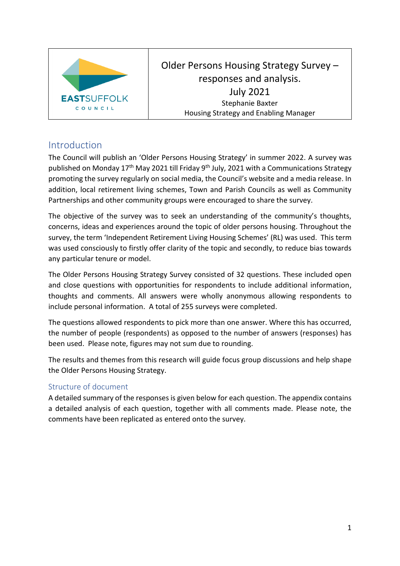

Older Persons Housing Strategy Survey – responses and analysis. July 2021 Stephanie Baxter Housing Strategy and Enabling Manager

# Introduction

The Council will publish an 'Older Persons Housing Strategy' in summer 2022. A survey was published on Monday  $17<sup>th</sup>$  May 2021 till Friday 9<sup>th</sup> July, 2021 with a Communications Strategy promoting the survey regularly on social media, the Council's website and a media release. In addition, local retirement living schemes, Town and Parish Councils as well as Community Partnerships and other community groups were encouraged to share the survey.

The objective of the survey was to seek an understanding of the community's thoughts, concerns, ideas and experiences around the topic of older persons housing. Throughout the survey, the term 'Independent Retirement Living Housing Schemes' (RL) was used. This term was used consciously to firstly offer clarity of the topic and secondly, to reduce bias towards any particular tenure or model.

The Older Persons Housing Strategy Survey consisted of 32 questions. These included open and close questions with opportunities for respondents to include additional information, thoughts and comments. All answers were wholly anonymous allowing respondents to include personal information. A total of 255 surveys were completed.

The questions allowed respondents to pick more than one answer. Where this has occurred, the number of people (respondents) as opposed to the number of answers (responses) has been used. Please note, figures may not sum due to rounding.

The results and themes from this research will guide focus group discussions and help shape the Older Persons Housing Strategy.

# Structure of document

A detailed summary of the responses is given below for each question. The appendix contains a detailed analysis of each question, together with all comments made. Please note, the comments have been replicated as entered onto the survey.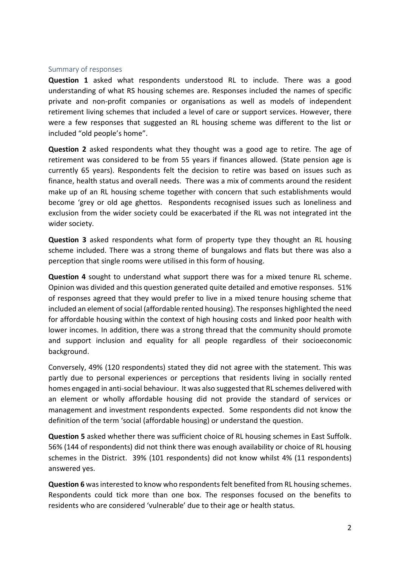#### Summary of responses

**Question 1** asked what respondents understood RL to include. There was a good understanding of what RS housing schemes are. Responses included the names of specific private and non-profit companies or organisations as well as models of independent retirement living schemes that included a level of care or support services. However, there were a few responses that suggested an RL housing scheme was different to the list or included "old people's home".

**Question 2** asked respondents what they thought was a good age to retire. The age of retirement was considered to be from 55 years if finances allowed. (State pension age is currently 65 years). Respondents felt the decision to retire was based on issues such as finance, health status and overall needs. There was a mix of comments around the resident make up of an RL housing scheme together with concern that such establishments would become 'grey or old age ghettos. Respondents recognised issues such as loneliness and exclusion from the wider society could be exacerbated if the RL was not integrated int the wider society.

**Question 3** asked respondents what form of property type they thought an RL housing scheme included. There was a strong theme of bungalows and flats but there was also a perception that single rooms were utilised in this form of housing.

**Question 4** sought to understand what support there was for a mixed tenure RL scheme. Opinion was divided and this question generated quite detailed and emotive responses. 51% of responses agreed that they would prefer to live in a mixed tenure housing scheme that included an element of social (affordable rented housing). The responses highlighted the need for affordable housing within the context of high housing costs and linked poor health with lower incomes. In addition, there was a strong thread that the community should promote and support inclusion and equality for all people regardless of their socioeconomic background.

Conversely, 49% (120 respondents) stated they did not agree with the statement. This was partly due to personal experiences or perceptions that residents living in socially rented homes engaged in anti-social behaviour. It was also suggested that RL schemes delivered with an element or wholly affordable housing did not provide the standard of services or management and investment respondents expected. Some respondents did not know the definition of the term 'social (affordable housing) or understand the question.

**Question 5** asked whether there was sufficient choice of RL housing schemes in East Suffolk. 56% (144 of respondents) did not think there was enough availability or choice of RL housing schemes in the District. 39% (101 respondents) did not know whilst 4% (11 respondents) answered yes.

**Question 6** was interested to know who respondents felt benefited from RL housing schemes. Respondents could tick more than one box. The responses focused on the benefits to residents who are considered 'vulnerable' due to their age or health status.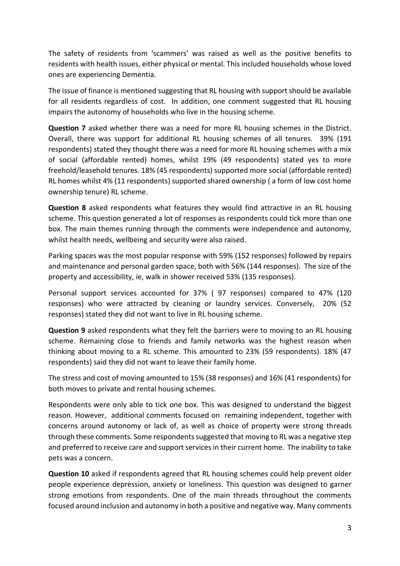The safety of residents from 'scammers' was raised as well as the positive benefits to residents with health issues, either physical or mental. This included households whose loved ones are experiencing Dementia.

The issue of finance is mentioned suggesting that RL housing with support should be available for all residents regardless of cost. In addition, one comment suggested that RL housing impairs the autonomy of households who live in the housing scheme.

**Question 7** asked whether there was a need for more RL housing schemes in the District. Overall, there was support for additional RL housing schemes of all tenures. 39% (191 respondents) stated they thought there was a need for more RL housing schemes with a mix of social (affordable rented) homes, whilst 19% (49 respondents) stated yes to more freehold/leasehold tenures. 18% (45 respondents) supported more social (affordable rented) RL homes whilst 4% (11 respondents) supported shared ownership ( a form of low cost home ownership tenure) RL scheme.

**Question 8** asked respondents what features they would find attractive in an RL housing scheme. This question generated a lot of responses as respondents could tick more than one box. The main themes running through the comments were independence and autonomy, whilst health needs, wellbeing and security were also raised.

Parking spaces was the most popular response with 59% (152 responses) followed by repairs and maintenance and personal garden space, both with 56% (144 responses). The size of the property and accessibility, ie, walk in shower received 53% (135 responses).

Personal support services accounted for 37% ( 97 responses) compared to 47% (120 responses) who were attracted by cleaning or laundry services. Conversely, 20% (52 responses) stated they did not want to live in RL housing scheme.

**Question 9** asked respondents what they felt the barriers were to moving to an RL housing scheme. Remaining close to friends and family networks was the highest reason when thinking about moving to a RL scheme. This amounted to 23% (59 respondents). 18% (47 respondents) said they did not want to leave their family home.

The stress and cost of moving amounted to 15% (38 responses) and 16% (41 respondents) for both moves to private and rental housing schemes.

Respondents were only able to tick one box. This was designed to understand the biggest reason. However, additional comments focused on remaining independent, together with concerns around autonomy or lack of, as well as choice of property were strong threads through these comments. Some respondents suggested that moving to RL was a negative step and preferred to receive care and support services in their current home. The inability to take pets was a concern.

**Question 10** asked if respondents agreed that RL housing schemes could help prevent older people experience depression, anxiety or loneliness. This question was designed to garner strong emotions from respondents. One of the main threads throughout the comments focused around inclusion and autonomy in both a positive and negative way. Many comments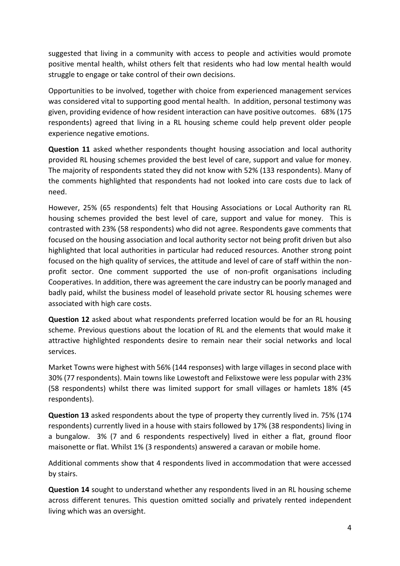suggested that living in a community with access to people and activities would promote positive mental health, whilst others felt that residents who had low mental health would struggle to engage or take control of their own decisions.

Opportunities to be involved, together with choice from experienced management services was considered vital to supporting good mental health. In addition, personal testimony was given, providing evidence of how resident interaction can have positive outcomes. 68% (175 respondents) agreed that living in a RL housing scheme could help prevent older people experience negative emotions.

**Question 11** asked whether respondents thought housing association and local authority provided RL housing schemes provided the best level of care, support and value for money. The majority of respondents stated they did not know with 52% (133 respondents). Many of the comments highlighted that respondents had not looked into care costs due to lack of need.

However, 25% (65 respondents) felt that Housing Associations or Local Authority ran RL housing schemes provided the best level of care, support and value for money. This is contrasted with 23% (58 respondents) who did not agree. Respondents gave comments that focused on the housing association and local authority sector not being profit driven but also highlighted that local authorities in particular had reduced resources. Another strong point focused on the high quality of services, the attitude and level of care of staff within the nonprofit sector. One comment supported the use of non-profit organisations including Cooperatives. In addition, there was agreement the care industry can be poorly managed and badly paid, whilst the business model of leasehold private sector RL housing schemes were associated with high care costs.

**Question 12** asked about what respondents preferred location would be for an RL housing scheme. Previous questions about the location of RL and the elements that would make it attractive highlighted respondents desire to remain near their social networks and local services.

Market Towns were highest with 56% (144 responses) with large villages in second place with 30% (77 respondents). Main towns like Lowestoft and Felixstowe were less popular with 23% (58 respondents) whilst there was limited support for small villages or hamlets 18% (45 respondents).

**Question 13** asked respondents about the type of property they currently lived in. 75% (174 respondents) currently lived in a house with stairs followed by 17% (38 respondents) living in a bungalow. 3% (7 and 6 respondents respectively) lived in either a flat, ground floor maisonette or flat. Whilst 1% (3 respondents) answered a caravan or mobile home.

Additional comments show that 4 respondents lived in accommodation that were accessed by stairs.

**Question 14** sought to understand whether any respondents lived in an RL housing scheme across different tenures. This question omitted socially and privately rented independent living which was an oversight.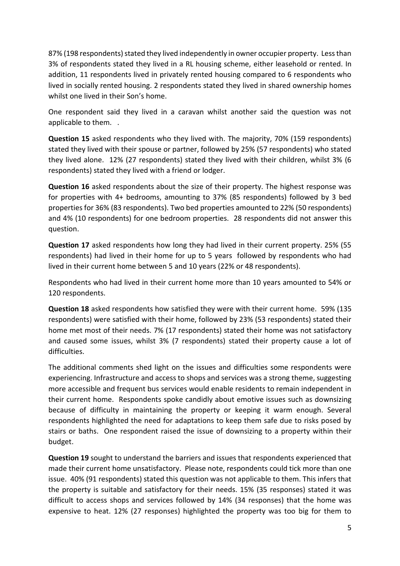87% (198 respondents) stated they lived independently in owner occupier property. Less than 3% of respondents stated they lived in a RL housing scheme, either leasehold or rented. In addition, 11 respondents lived in privately rented housing compared to 6 respondents who lived in socially rented housing. 2 respondents stated they lived in shared ownership homes whilst one lived in their Son's home.

One respondent said they lived in a caravan whilst another said the question was not applicable to them. .

**Question 15** asked respondents who they lived with. The majority, 70% (159 respondents) stated they lived with their spouse or partner, followed by 25% (57 respondents) who stated they lived alone. 12% (27 respondents) stated they lived with their children, whilst 3% (6 respondents) stated they lived with a friend or lodger.

**Question 16** asked respondents about the size of their property. The highest response was for properties with 4+ bedrooms, amounting to 37% (85 respondents) followed by 3 bed properties for 36% (83 respondents). Two bed properties amounted to 22% (50 respondents) and 4% (10 respondents) for one bedroom properties. 28 respondents did not answer this question.

**Question 17** asked respondents how long they had lived in their current property. 25% (55 respondents) had lived in their home for up to 5 years followed by respondents who had lived in their current home between 5 and 10 years (22% or 48 respondents).

Respondents who had lived in their current home more than 10 years amounted to 54% or 120 respondents.

**Question 18** asked respondents how satisfied they were with their current home. 59% (135 respondents) were satisfied with their home, followed by 23% (53 respondents) stated their home met most of their needs. 7% (17 respondents) stated their home was not satisfactory and caused some issues, whilst 3% (7 respondents) stated their property cause a lot of difficulties.

The additional comments shed light on the issues and difficulties some respondents were experiencing. Infrastructure and access to shops and services was a strong theme, suggesting more accessible and frequent bus services would enable residents to remain independent in their current home. Respondents spoke candidly about emotive issues such as downsizing because of difficulty in maintaining the property or keeping it warm enough. Several respondents highlighted the need for adaptations to keep them safe due to risks posed by stairs or baths. One respondent raised the issue of downsizing to a property within their budget.

**Question 19** sought to understand the barriers and issues that respondents experienced that made their current home unsatisfactory. Please note, respondents could tick more than one issue. 40% (91 respondents) stated this question was not applicable to them. This infers that the property is suitable and satisfactory for their needs. 15% (35 responses) stated it was difficult to access shops and services followed by 14% (34 responses) that the home was expensive to heat. 12% (27 responses) highlighted the property was too big for them to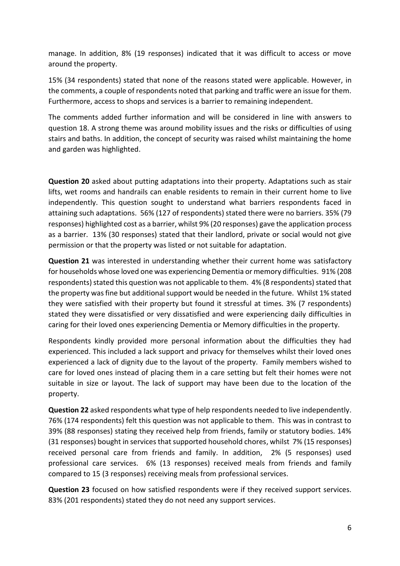manage. In addition, 8% (19 responses) indicated that it was difficult to access or move around the property.

15% (34 respondents) stated that none of the reasons stated were applicable. However, in the comments, a couple of respondents noted that parking and traffic were an issue for them. Furthermore, access to shops and services is a barrier to remaining independent.

The comments added further information and will be considered in line with answers to question 18. A strong theme was around mobility issues and the risks or difficulties of using stairs and baths. In addition, the concept of security was raised whilst maintaining the home and garden was highlighted.

**Question 20** asked about putting adaptations into their property. Adaptations such as stair lifts, wet rooms and handrails can enable residents to remain in their current home to live independently. This question sought to understand what barriers respondents faced in attaining such adaptations. 56% (127 of respondents) stated there were no barriers. 35% (79 responses) highlighted cost as a barrier, whilst 9% (20 responses) gave the application process as a barrier. 13% (30 responses) stated that their landlord, private or social would not give permission or that the property was listed or not suitable for adaptation.

**Question 21** was interested in understanding whether their current home was satisfactory for households whose loved one was experiencing Dementia or memory difficulties. 91% (208 respondents) stated this question was not applicable to them. 4% (8 respondents) stated that the property was fine but additional support would be needed in the future. Whilst 1% stated they were satisfied with their property but found it stressful at times. 3% (7 respondents) stated they were dissatisfied or very dissatisfied and were experiencing daily difficulties in caring for their loved ones experiencing Dementia or Memory difficulties in the property.

Respondents kindly provided more personal information about the difficulties they had experienced. This included a lack support and privacy for themselves whilst their loved ones experienced a lack of dignity due to the layout of the property. Family members wished to care for loved ones instead of placing them in a care setting but felt their homes were not suitable in size or layout. The lack of support may have been due to the location of the property.

**Question 22** asked respondents what type of help respondents needed to live independently. 76% (174 respondents) felt this question was not applicable to them. This was in contrast to 39% (88 responses) stating they received help from friends, family or statutory bodies. 14% (31 responses) bought in services that supported household chores, whilst 7% (15 responses) received personal care from friends and family. In addition, 2% (5 responses) used professional care services. 6% (13 responses) received meals from friends and family compared to 15 (3 responses) receiving meals from professional services.

**Question 23** focused on how satisfied respondents were if they received support services. 83% (201 respondents) stated they do not need any support services.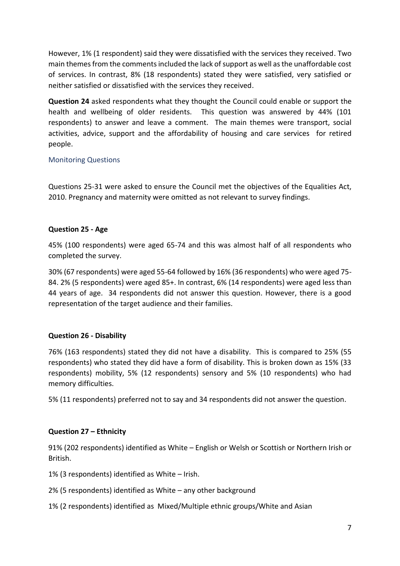However, 1% (1 respondent) said they were dissatisfied with the services they received. Two main themes from the comments included the lack of support as well as the unaffordable cost of services. In contrast, 8% (18 respondents) stated they were satisfied, very satisfied or neither satisfied or dissatisfied with the services they received.

**Question 24** asked respondents what they thought the Council could enable or support the health and wellbeing of older residents. This question was answered by 44% (101 respondents) to answer and leave a comment. The main themes were transport, social activities, advice, support and the affordability of housing and care services for retired people.

## Monitoring Questions

Questions 25-31 were asked to ensure the Council met the objectives of the Equalities Act, 2010. Pregnancy and maternity were omitted as not relevant to survey findings.

## **Question 25 - Age**

45% (100 respondents) were aged 65-74 and this was almost half of all respondents who completed the survey.

30% (67 respondents) were aged 55-64 followed by 16% (36 respondents) who were aged 75- 84. 2% (5 respondents) were aged 85+. In contrast, 6% (14 respondents) were aged less than 44 years of age. 34 respondents did not answer this question. However, there is a good representation of the target audience and their families.

# **Question 26 - Disability**

76% (163 respondents) stated they did not have a disability. This is compared to 25% (55 respondents) who stated they did have a form of disability. This is broken down as 15% (33 respondents) mobility, 5% (12 respondents) sensory and 5% (10 respondents) who had memory difficulties.

5% (11 respondents) preferred not to say and 34 respondents did not answer the question.

# **Question 27 – Ethnicity**

91% (202 respondents) identified as White – English or Welsh or Scottish or Northern Irish or British.

1% (3 respondents) identified as White – Irish.

- 2% (5 respondents) identified as White any other background
- 1% (2 respondents) identified as Mixed/Multiple ethnic groups/White and Asian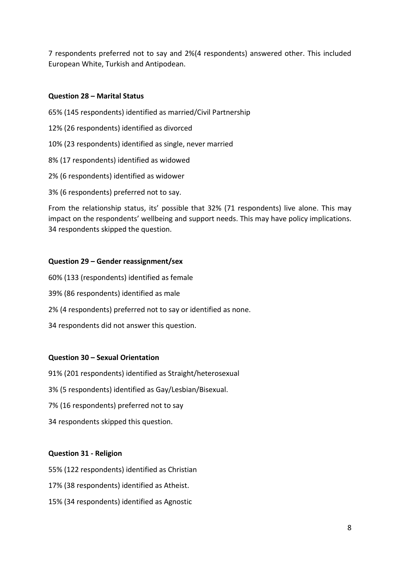7 respondents preferred not to say and 2%(4 respondents) answered other. This included European White, Turkish and Antipodean.

## **Question 28 – Marital Status**

- 65% (145 respondents) identified as married/Civil Partnership
- 12% (26 respondents) identified as divorced
- 10% (23 respondents) identified as single, never married
- 8% (17 respondents) identified as widowed
- 2% (6 respondents) identified as widower
- 3% (6 respondents) preferred not to say.

From the relationship status, its' possible that 32% (71 respondents) live alone. This may impact on the respondents' wellbeing and support needs. This may have policy implications. 34 respondents skipped the question.

### **Question 29 – Gender reassignment/sex**

- 60% (133 (respondents) identified as female
- 39% (86 respondents) identified as male
- 2% (4 respondents) preferred not to say or identified as none.
- 34 respondents did not answer this question.

#### **Question 30 – Sexual Orientation**

- 91% (201 respondents) identified as Straight/heterosexual
- 3% (5 respondents) identified as Gay/Lesbian/Bisexual.
- 7% (16 respondents) preferred not to say
- 34 respondents skipped this question.

#### **Question 31 - Religion**

- 55% (122 respondents) identified as Christian
- 17% (38 respondents) identified as Atheist.
- 15% (34 respondents) identified as Agnostic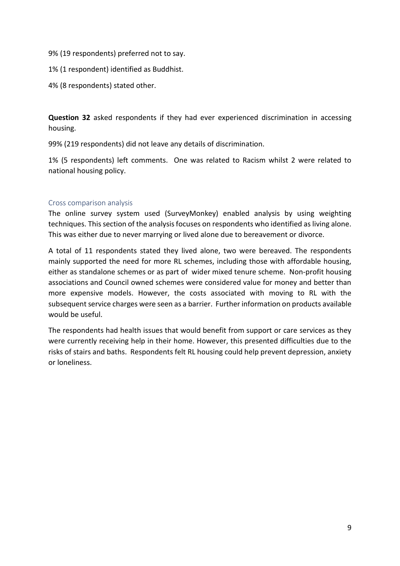- 9% (19 respondents) preferred not to say.
- 1% (1 respondent) identified as Buddhist.
- 4% (8 respondents) stated other.

**Question 32** asked respondents if they had ever experienced discrimination in accessing housing.

99% (219 respondents) did not leave any details of discrimination.

1% (5 respondents) left comments. One was related to Racism whilst 2 were related to national housing policy.

#### Cross comparison analysis

The online survey system used (SurveyMonkey) enabled analysis by using weighting techniques. This section of the analysis focuses on respondents who identified as living alone. This was either due to never marrying or lived alone due to bereavement or divorce.

A total of 11 respondents stated they lived alone, two were bereaved. The respondents mainly supported the need for more RL schemes, including those with affordable housing, either as standalone schemes or as part of wider mixed tenure scheme. Non-profit housing associations and Council owned schemes were considered value for money and better than more expensive models. However, the costs associated with moving to RL with the subsequent service charges were seen as a barrier. Further information on products available would be useful.

The respondents had health issues that would benefit from support or care services as they were currently receiving help in their home. However, this presented difficulties due to the risks of stairs and baths. Respondents felt RL housing could help prevent depression, anxiety or loneliness.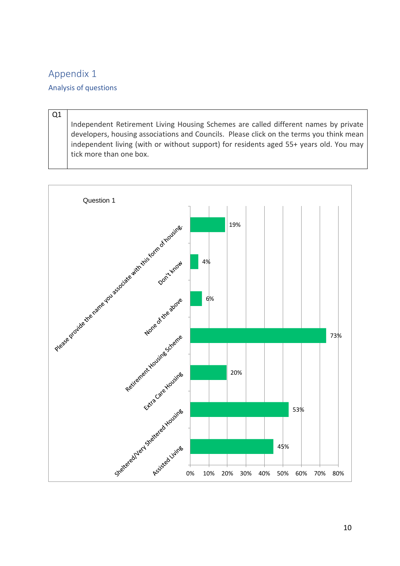# Appendix 1 Analysis of questions

Q1 Independent Retirement Living Housing Schemes are called different names by private developers, housing associations and Councils. Please click on the terms you think mean independent living (with or without support) for residents aged 55+ years old. You may tick more than one box.

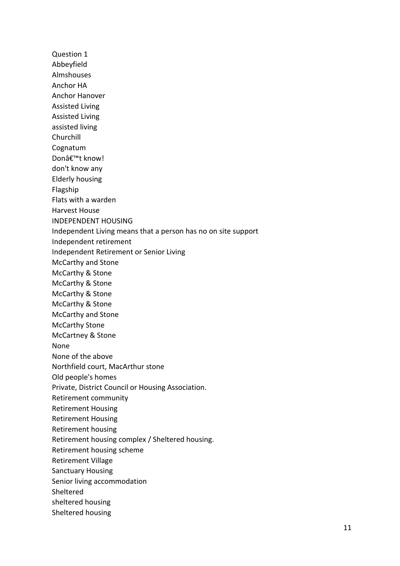Question 1 Abbeyfield Almshouses Anchor HA Anchor Hanover Assisted Living Assisted Living assisted living Churchill Cognatum Donâ€<sup>™</sup>t know! don't know any Elderly housing Flagship Flats with a warden Harvest House INDEPENDENT HOUSING Independent Living means that a person has no on site support Independent retirement Independent Retirement or Senior Living McCarthy and Stone McCarthy & Stone McCarthy & Stone McCarthy & Stone McCarthy & Stone McCarthy and Stone McCarthy Stone McCartney & Stone None None of the above Northfield court, MacArthur stone Old people's homes Private, District Council or Housing Association. Retirement community Retirement Housing Retirement Housing Retirement housing Retirement housing complex / Sheltered housing. Retirement housing scheme Retirement Village Sanctuary Housing Senior living accommodation Sheltered sheltered housing Sheltered housing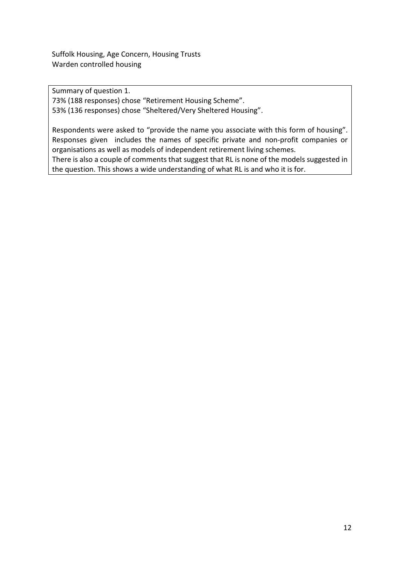Suffolk Housing, Age Concern, Housing Trusts Warden controlled housing

Summary of question 1. 73% (188 responses) chose "Retirement Housing Scheme". 53% (136 responses) chose "Sheltered/Very Sheltered Housing".

Respondents were asked to "provide the name you associate with this form of housing". Responses given includes the names of specific private and non-profit companies or organisations as well as models of independent retirement living schemes. There is also a couple of comments that suggest that RL is none of the models suggested in the question. This shows a wide understanding of what RL is and who it is for.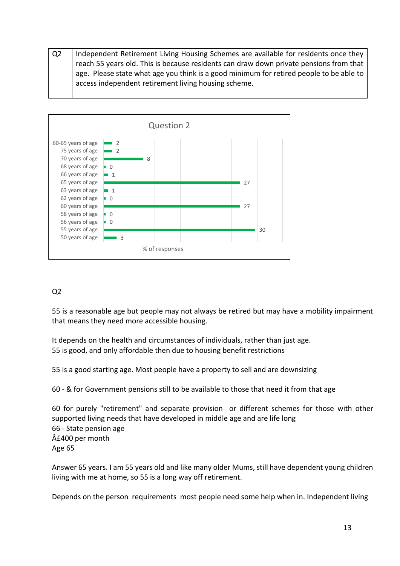Q2 | Independent Retirement Living Housing Schemes are available for residents once they reach 55 years old. This is because residents can draw down private pensions from that age. Please state what age you think is a good minimum for retired people to be able to access independent retirement living housing scheme.



## Q2

55 is a reasonable age but people may not always be retired but may have a mobility impairment that means they need more accessible housing.

It depends on the health and circumstances of individuals, rather than just age. 55 is good, and only affordable then due to housing benefit restrictions

55 is a good starting age. Most people have a property to sell and are downsizing

60 - & for Government pensions still to be available to those that need it from that age

60 for purely "retirement" and separate provision or different schemes for those with other supported living needs that have developed in middle age and are life long 66 - State pension age £400 per month Age 65

Answer 65 years. I am 55 years old and like many older Mums, still have dependent young children living with me at home, so 55 is a long way off retirement.

Depends on the person requirements most people need some help when in. Independent living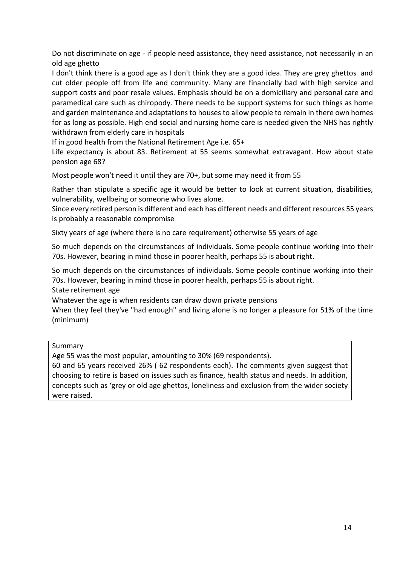Do not discriminate on age - if people need assistance, they need assistance, not necessarily in an old age ghetto

I don't think there is a good age as I don't think they are a good idea. They are grey ghettos and cut older people off from life and community. Many are financially bad with high service and support costs and poor resale values. Emphasis should be on a domiciliary and personal care and paramedical care such as chiropody. There needs to be support systems for such things as home and garden maintenance and adaptations to houses to allow people to remain in there own homes for as long as possible. High end social and nursing home care is needed given the NHS has rightly withdrawn from elderly care in hospitals

If in good health from the National Retirement Age i.e. 65+

Life expectancy is about 83. Retirement at 55 seems somewhat extravagant. How about state pension age 68?

Most people won't need it until they are 70+, but some may need it from 55

Rather than stipulate a specific age it would be better to look at current situation, disabilities, vulnerability, wellbeing or someone who lives alone.

Since every retired person is different and each has different needs and different resources 55 years is probably a reasonable compromise

Sixty years of age (where there is no care requirement) otherwise 55 years of age

So much depends on the circumstances of individuals. Some people continue working into their 70s. However, bearing in mind those in poorer health, perhaps 55 is about right.

So much depends on the circumstances of individuals. Some people continue working into their 70s. However, bearing in mind those in poorer health, perhaps 55 is about right.

State retirement age

Whatever the age is when residents can draw down private pensions

When they feel they've "had enough" and living alone is no longer a pleasure for 51% of the time (minimum)

#### Summary

Age 55 was the most popular, amounting to 30% (69 respondents).

60 and 65 years received 26% ( 62 respondents each). The comments given suggest that choosing to retire is based on issues such as finance, health status and needs. In addition, concepts such as 'grey or old age ghettos, loneliness and exclusion from the wider society were raised.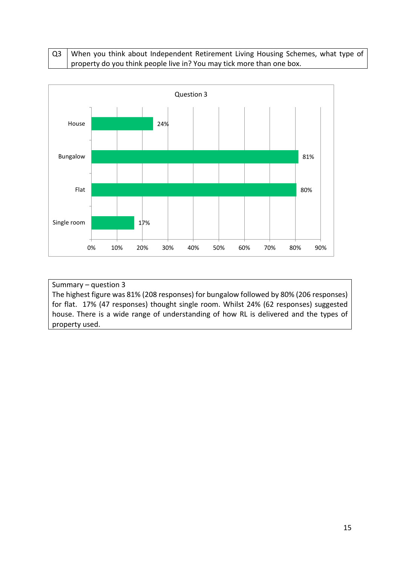## Q3 When you think about Independent Retirement Living Housing Schemes, what type of property do you think people live in? You may tick more than one box.



## Summary – question 3 The highest figure was 81% (208 responses) for bungalow followed by 80% (206 responses) for flat. 17% (47 responses) thought single room. Whilst 24% (62 responses) suggested house. There is a wide range of understanding of how RL is delivered and the types of property used.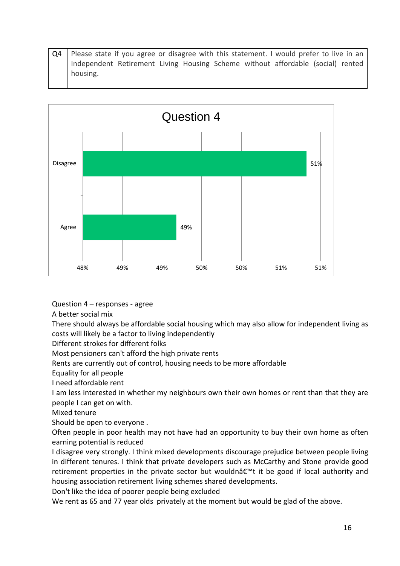$Q4$  Please state if you agree or disagree with this statement. I would prefer to live in an Independent Retirement Living Housing Scheme without affordable (social) rented housing.



Question 4 – responses - agree

A better social mix

There should always be affordable social housing which may also allow for independent living as costs will likely be a factor to living independently

Different strokes for different folks

Most pensioners can't afford the high private rents

Rents are currently out of control, housing needs to be more affordable

Equality for all people

I need affordable rent

I am less interested in whether my neighbours own their own homes or rent than that they are people I can get on with.

Mixed tenure

Should be open to everyone .

Often people in poor health may not have had an opportunity to buy their own home as often earning potential is reduced

I disagree very strongly. I think mixed developments discourage prejudice between people living in different tenures. I think that private developers such as McCarthy and Stone provide good retirement properties in the private sector but wouldn $\hat{a}\in\mathbb{M}$  it be good if local authority and housing association retirement living schemes shared developments.

Don't like the idea of poorer people being excluded

We rent as 65 and 77 year olds privately at the moment but would be glad of the above.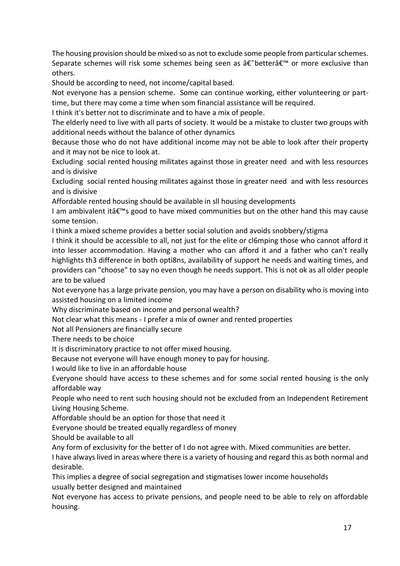The housing provision should be mixed so as not to exclude some people from particular schemes. Separate schemes will risk some schemes being seen as  $\hat{\mathcal{A}} \in \hat{\mathcal{A}}$ better $\hat{\mathcal{A}} \in \mathbb{N}$  or more exclusive than others.

Should be according to need, not income/capital based.

Not everyone has a pension scheme. Some can continue working, either volunteering or parttime, but there may come a time when som financial assistance will be required.

I think it's better not to discriminate and to have a mix of people.

The elderly need to live with all parts of society. It would be a mistake to cluster two groups with additional needs without the balance of other dynamics

Because those who do not have additional income may not be able to look after their property and it may not be nice to look at.

Excluding social rented housing militates against those in greater need and with less resources and is divisive

Excluding social rented housing militates against those in greater need and with less resources and is divisive

Affordable rented housing should be available in sll housing developments

I am ambivalent itâ $\epsilon^{\text{m}}$ s good to have mixed communities but on the other hand this may cause some tension.

I think a mixed scheme provides a better social solution and avoids snobbery/stigma

I think it should be accessible to all, not just for the elite or cl6mping those who cannot afford it into lesser accommodation. Having a mother who can afford it and a father who can't really highlights th3 difference in both opti8ns, availability of support he needs and waiting times, and providers can "choose" to say no even though he needs support. This is not ok as all older people are to be valued

Not everyone has a large private pension, you may have a person on disability who is moving into assisted housing on a limited income

Why discriminate based on income and personal wealth?

Not clear what this means - I prefer a mix of owner and rented properties

Not all Pensioners are financially secure

There needs to be choice

It is discriminatory practice to not offer mixed housing.

Because not everyone will have enough money to pay for housing.

I would like to live in an affordable house

Everyone should have access to these schemes and for some social rented housing is the only affordable way

People who need to rent such housing should not be excluded from an Independent Retirement Living Housing Scheme.

Affordable should be an option for those that need it

Everyone should be treated equally regardless of money

Should be available to all

Any form of exclusivity for the better of I do not agree with. Mixed communities are better.

I have always lived in areas where there is a variety of housing and regard this as both normal and desirable.

This implies a degree of social segregation and stigmatises lower income households usually better designed and maintained

Not everyone has access to private pensions, and people need to be able to rely on affordable housing.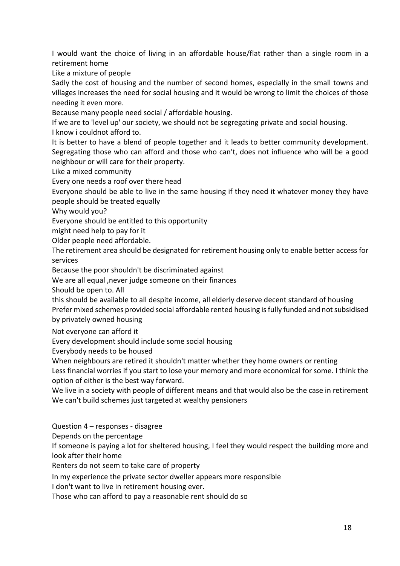I would want the choice of living in an affordable house/flat rather than a single room in a retirement home

Like a mixture of people

Sadly the cost of housing and the number of second homes, especially in the small towns and villages increases the need for social housing and it would be wrong to limit the choices of those needing it even more.

Because many people need social / affordable housing.

If we are to 'level up' our society, we should not be segregating private and social housing.

I know i couldnot afford to.

It is better to have a blend of people together and it leads to better community development. Segregating those who can afford and those who can't, does not influence who will be a good neighbour or will care for their property.

Like a mixed community

Every one needs a roof over there head

Everyone should be able to live in the same housing if they need it whatever money they have people should be treated equally

Why would you?

Everyone should be entitled to this opportunity

might need help to pay for it

Older people need affordable.

The retirement area should be designated for retirement housing only to enable better access for services

Because the poor shouldn't be discriminated against

We are all equal ,never judge someone on their finances

Should be open to. All

this should be available to all despite income, all elderly deserve decent standard of housing Prefer mixed schemes provided social affordable rented housing is fully funded and not subsidised by privately owned housing

Not everyone can afford it

Every development should include some social housing

Everybody needs to be housed

When neighbours are retired it shouldn't matter whether they home owners or renting

Less financial worries if you start to lose your memory and more economical for some. I think the option of either is the best way forward.

We live in a society with people of different means and that would also be the case in retirement We can't build schemes just targeted at wealthy pensioners

Question 4 – responses - disagree

Depends on the percentage

If someone is paying a lot for sheltered housing, I feel they would respect the building more and look after their home

Renters do not seem to take care of property

In my experience the private sector dweller appears more responsible

I don't want to live in retirement housing ever.

Those who can afford to pay a reasonable rent should do so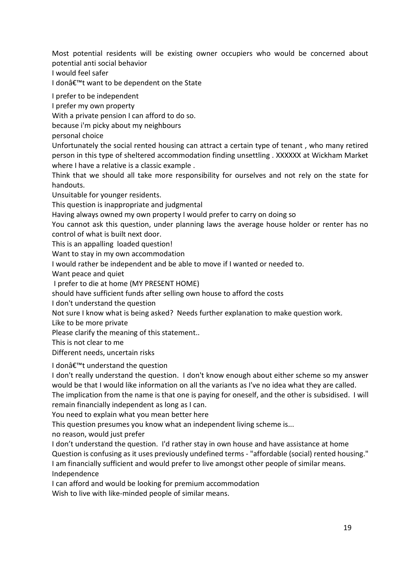Most potential residents will be existing owner occupiers who would be concerned about potential anti social behavior

I would feel safer

I donâ€<sup>™</sup>t want to be dependent on the State

I prefer to be independent

I prefer my own property

With a private pension I can afford to do so.

because i'm picky about my neighbours

personal choice

Unfortunately the social rented housing can attract a certain type of tenant , who many retired person in this type of sheltered accommodation finding unsettling . XXXXXX at Wickham Market where I have a relative is a classic example .

Think that we should all take more responsibility for ourselves and not rely on the state for handouts.

Unsuitable for younger residents.

This question is inappropriate and judgmental

Having always owned my own property I would prefer to carry on doing so

You cannot ask this question, under planning laws the average house holder or renter has no control of what is built next door.

This is an appalling loaded question!

Want to stay in my own accommodation

I would rather be independent and be able to move if I wanted or needed to.

Want peace and quiet

I prefer to die at home (MY PRESENT HOME)

should have sufficient funds after selling own house to afford the costs

I don't understand the question

Not sure I know what is being asked? Needs further explanation to make question work.

Like to be more private

Please clarify the meaning of this statement..

This is not clear to me

Different needs, uncertain risks

I donâ€<sup>™</sup>t understand the question

I don't really understand the question. I don't know enough about either scheme so my answer would be that I would like information on all the variants as I've no idea what they are called.

The implication from the name is that one is paying for oneself, and the other is subsidised. I will remain financially independent as long as I can.

You need to explain what you mean better here

This question presumes you know what an independent living scheme is...

no reason, would just prefer

I don't understand the question. I'd rather stay in own house and have assistance at home Question is confusing as it uses previously undefined terms - "affordable (social) rented housing." I am financially sufficient and would prefer to live amongst other people of similar means. Independence

I can afford and would be looking for premium accommodation

Wish to live with like-minded people of similar means.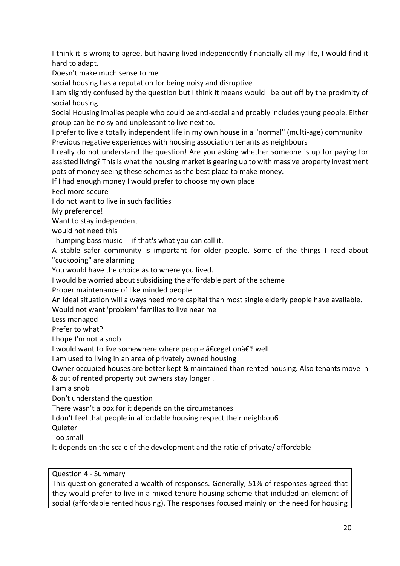I think it is wrong to agree, but having lived independently financially all my life, I would find it hard to adapt.

Doesn't make much sense to me

social housing has a reputation for being noisy and disruptive

I am slightly confused by the question but I think it means would I be out off by the proximity of social housing

Social Housing implies people who could be anti-social and proably includes young people. Either group can be noisy and unpleasant to live next to.

I prefer to live a totally independent life in my own house in a "normal" (multi-age) community Previous negative experiences with housing association tenants as neighbours

I really do not understand the question! Are you asking whether someone is up for paying for assisted living? This is what the housing market is gearing up to with massive property investment pots of money seeing these schemes as the best place to make money.

If I had enough money I would prefer to choose my own place

Feel more secure

I do not want to live in such facilities

My preference!

Want to stay independent

would not need this

Thumping bass music - if that's what you can call it.

A stable safer community is important for older people. Some of the things I read about "cuckooing" are alarming

You would have the choice as to where you lived.

I would be worried about subsidising the affordable part of the scheme

Proper maintenance of like minded people

An ideal situation will always need more capital than most single elderly people have available.

Would not want 'problem' families to live near me

Less managed

Prefer to what?

I hope I'm not a snob

I would want to live somewhere where people "get on― well.

I am used to living in an area of privately owned housing

Owner occupied houses are better kept & maintained than rented housing. Also tenants move in & out of rented property but owners stay longer .

I am a snob

Don't understand the question

There wasn't a box for it depends on the circumstances

I don't feel that people in affordable housing respect their neighbou6

**Quieter** 

Too small

It depends on the scale of the development and the ratio of private/ affordable

Question 4 - Summary

This question generated a wealth of responses. Generally, 51% of responses agreed that they would prefer to live in a mixed tenure housing scheme that included an element of social (affordable rented housing). The responses focused mainly on the need for housing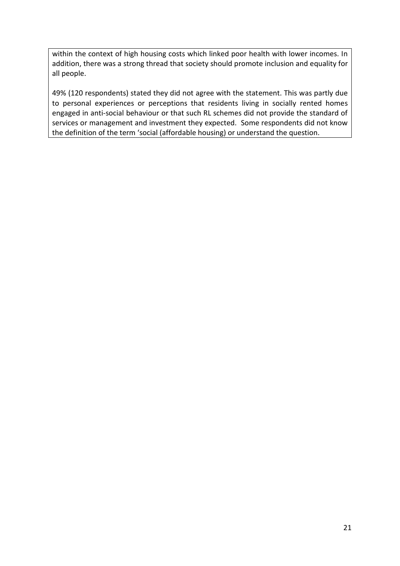within the context of high housing costs which linked poor health with lower incomes. In addition, there was a strong thread that society should promote inclusion and equality for all people.

49% (120 respondents) stated they did not agree with the statement. This was partly due to personal experiences or perceptions that residents living in socially rented homes engaged in anti-social behaviour or that such RL schemes did not provide the standard of services or management and investment they expected. Some respondents did not know the definition of the term 'social (affordable housing) or understand the question.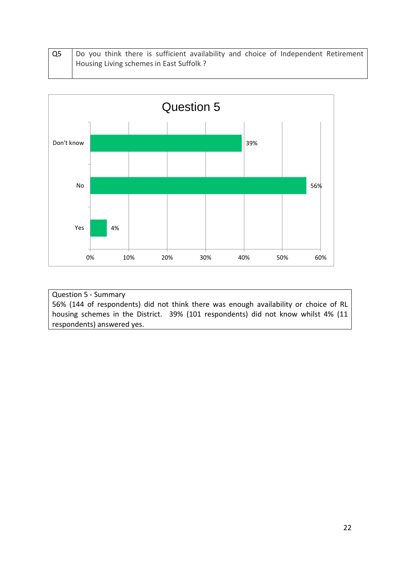| Q5 | Do you think there is sufficient availability and choice of Independent Retirement |
|----|------------------------------------------------------------------------------------|
|    | Housing Living schemes in East Suffolk ?                                           |



Question 5 - Summary 56% (144 of respondents) did not think there was enough availability or choice of RL housing schemes in the District. 39% (101 respondents) did not know whilst 4% (11 respondents) answered yes.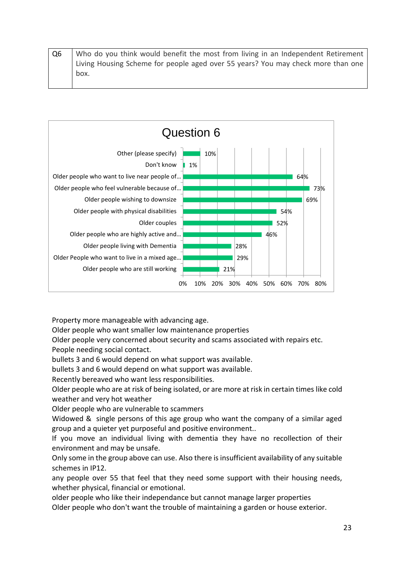| Q6 | Who do you think would benefit the most from living in an Independent Retirement |
|----|----------------------------------------------------------------------------------|
|    | Living Housing Scheme for people aged over 55 years? You may check more than one |
|    | box.                                                                             |



Property more manageable with advancing age.

Older people who want smaller low maintenance properties

Older people very concerned about security and scams associated with repairs etc. People needing social contact.

bullets 3 and 6 would depend on what support was available.

bullets 3 and 6 would depend on what support was available.

Recently bereaved who want less responsibilities.

Older people who are at risk of being isolated, or are more at risk in certain times like cold weather and very hot weather

Older people who are vulnerable to scammers

Widowed & single persons of this age group who want the company of a similar aged group and a quieter yet purposeful and positive environment..

If you move an individual living with dementia they have no recollection of their environment and may be unsafe.

Only some in the group above can use. Also there is insufficient availability of any suitable schemes in IP12.

any people over 55 that feel that they need some support with their housing needs, whether physical, financial or emotional.

older people who like their independance but cannot manage larger properties Older people who don't want the trouble of maintaining a garden or house exterior.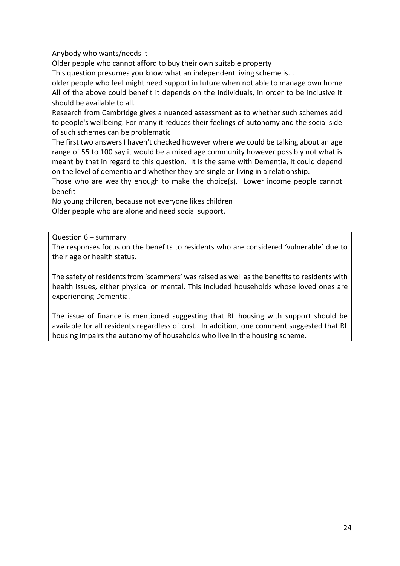Anybody who wants/needs it

Older people who cannot afford to buy their own suitable property

This question presumes you know what an independent living scheme is...

older people who feel might need support in future when not able to manage own home All of the above could benefit it depends on the individuals, in order to be inclusive it should be available to all.

Research from Cambridge gives a nuanced assessment as to whether such schemes add to people's wellbeing. For many it reduces their feelings of autonomy and the social side of such schemes can be problematic

The first two answers I haven't checked however where we could be talking about an age range of 55 to 100 say it would be a mixed age community however possibly not what is meant by that in regard to this question. It is the same with Dementia, it could depend on the level of dementia and whether they are single or living in a relationship.

Those who are wealthy enough to make the choice(s). Lower income people cannot benefit

No young children, because not everyone likes children Older people who are alone and need social support.

Question 6 – summary

The responses focus on the benefits to residents who are considered 'vulnerable' due to their age or health status.

The safety of residents from 'scammers' was raised as well as the benefits to residents with health issues, either physical or mental. This included households whose loved ones are experiencing Dementia.

The issue of finance is mentioned suggesting that RL housing with support should be available for all residents regardless of cost. In addition, one comment suggested that RL housing impairs the autonomy of households who live in the housing scheme.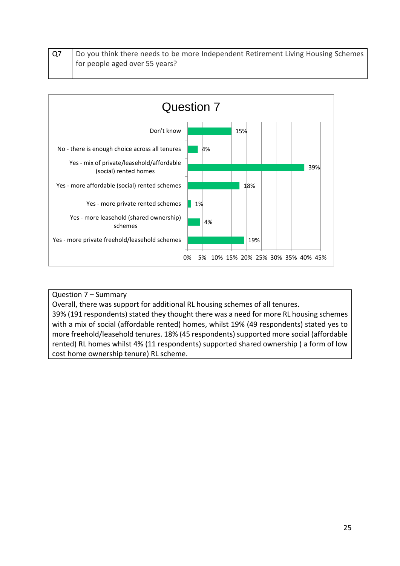| l Q7 | Do you think there needs to be more Independent Retirement Living Housing Schemes |
|------|-----------------------------------------------------------------------------------|
|      | for people aged over 55 years?                                                    |



Question 7 – Summary

Overall, there was support for additional RL housing schemes of all tenures.

39% (191 respondents) stated they thought there was a need for more RL housing schemes with a mix of social (affordable rented) homes, whilst 19% (49 respondents) stated yes to more freehold/leasehold tenures. 18% (45 respondents) supported more social (affordable rented) RL homes whilst 4% (11 respondents) supported shared ownership ( a form of low cost home ownership tenure) RL scheme.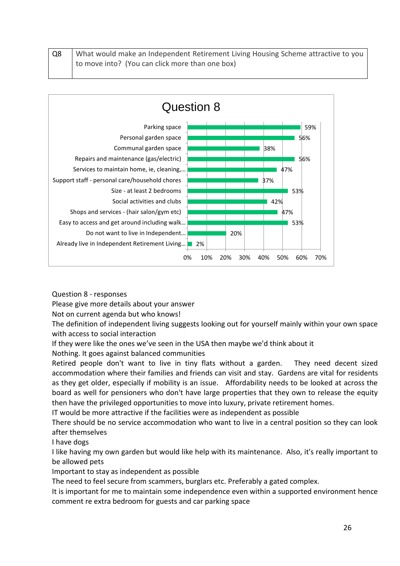| Q8 | What would make an Independent Retirement Living Housing Scheme attractive to you |
|----|-----------------------------------------------------------------------------------|
|    | to move into? (You can click more than one box)                                   |



Question 8 - responses

Please give more details about your answer

Not on current agenda but who knows!

The definition of independent living suggests looking out for yourself mainly within your own space with access to social interaction

If they were like the ones we've seen in the USA then maybe we'd think about it

Nothing. It goes against balanced communities

Retired people don't want to live in tiny flats without a garden. They need decent sized accommodation where their families and friends can visit and stay. Gardens are vital for residents as they get older, especially if mobility is an issue. Affordability needs to be looked at across the board as well for pensioners who don't have large properties that they own to release the equity then have the privileged opportunities to move into luxury, private retirement homes.

IT would be more attractive if the facilities were as independent as possible

There should be no service accommodation who want to live in a central position so they can look after themselves

I have dogs

I like having my own garden but would like help with its maintenance. Also, it's really important to be allowed pets

Important to stay as independent as possible

The need to feel secure from scammers, burglars etc. Preferably a gated complex.

It is important for me to maintain some independence even within a supported environment hence comment re extra bedroom for guests and car parking space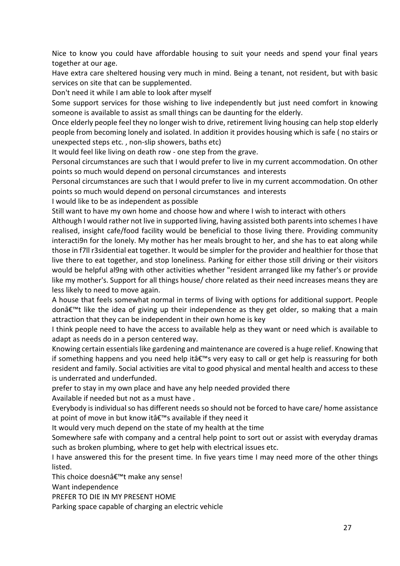Nice to know you could have affordable housing to suit your needs and spend your final years together at our age.

Have extra care sheltered housing very much in mind. Being a tenant, not resident, but with basic services on site that can be supplemented.

Don't need it while I am able to look after myself

Some support services for those wishing to live independently but just need comfort in knowing someone is available to assist as small things can be daunting for the elderly.

Once elderly people feel they no longer wish to drive, retirement living housing can help stop elderly people from becoming lonely and isolated. In addition it provides housing which is safe ( no stairs or unexpected steps etc. , non-slip showers, baths etc)

It would feel like living on death row - one step from the grave.

Personal circumstances are such that I would prefer to live in my current accommodation. On other points so much would depend on personal circumstances and interests

Personal circumstances are such that I would prefer to live in my current accommodation. On other points so much would depend on personal circumstances and interests

I would like to be as independent as possible

Still want to have my own home and choose how and where I wish to interact with others

Although I would rather not live in supported living, having assisted both parents into schemes I have realised, insight cafe/food facility would be beneficial to those living there. Providing community interacti9n for the lonely. My mother has her meals brought to her, and she has to eat along while those in f7ll r3sidential eat together. It would be simpler for the provider and healthier for those that live there to eat together, and stop loneliness. Parking for either those still driving or their visitors would be helpful al9ng with other activities whether "resident arranged like my father's or provide like my mother's. Support for all things house/ chore related as their need increases means they are less likely to need to move again.

A house that feels somewhat normal in terms of living with options for additional support. People don $\hat{\mathcal{A}}^{\text{TM}}$  like the idea of giving up their independence as they get older, so making that a main attraction that they can be independent in their own home is key

I think people need to have the access to available help as they want or need which is available to adapt as needs do in a person centered way.

Knowing certain essentials like gardening and maintenance are covered is a huge relief. Knowing that if something happens and you need help it  $\hat{a} \in \mathbb{N}$  very easy to call or get help is reassuring for both resident and family. Social activities are vital to good physical and mental health and access to these is underrated and underfunded.

prefer to stay in my own place and have any help needed provided there

Available if needed but not as a must have .

Everybody is individual so has different needs so should not be forced to have care/ home assistance at point of move in but know itâ€<sup>™</sup>s available if they need it

It would very much depend on the state of my health at the time

Somewhere safe with company and a central help point to sort out or assist with everyday dramas such as broken plumbing, where to get help with electrical issues etc.

I have answered this for the present time. In five years time I may need more of the other things listed.

This choice doesnâ€<sup>™</sup>t make any sense!

Want independence

PREFER TO DIE IN MY PRESENT HOME

Parking space capable of charging an electric vehicle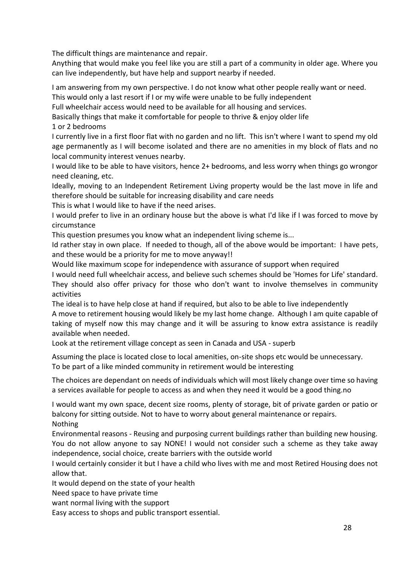The difficult things are maintenance and repair.

Anything that would make you feel like you are still a part of a community in older age. Where you can live independently, but have help and support nearby if needed.

I am answering from my own perspective. I do not know what other people really want or need.

This would only a last resort if I or my wife were unable to be fully independent

Full wheelchair access would need to be available for all housing and services.

Basically things that make it comfortable for people to thrive & enjoy older life

1 or 2 bedrooms

I currently live in a first floor flat with no garden and no lift. This isn't where I want to spend my old age permanently as I will become isolated and there are no amenities in my block of flats and no local community interest venues nearby.

I would like to be able to have visitors, hence 2+ bedrooms, and less worry when things go wrongor need cleaning, etc.

Ideally, moving to an Independent Retirement Living property would be the last move in life and therefore should be suitable for increasing disability and care needs

This is what I would like to have if the need arises.

I would prefer to live in an ordinary house but the above is what I'd like if I was forced to move by circumstance

This question presumes you know what an independent living scheme is...

Id rather stay in own place. If needed to though, all of the above would be important: I have pets, and these would be a priority for me to move anyway!!

Would like maximum scope for independence with assurance of support when required

I would need full wheelchair access, and believe such schemes should be 'Homes for Life' standard. They should also offer privacy for those who don't want to involve themselves in community activities

The ideal is to have help close at hand if required, but also to be able to live independently

A move to retirement housing would likely be my last home change. Although I am quite capable of taking of myself now this may change and it will be assuring to know extra assistance is readily available when needed.

Look at the retirement village concept as seen in Canada and USA - superb

Assuming the place is located close to local amenities, on-site shops etc would be unnecessary.

To be part of a like minded community in retirement would be interesting

The choices are dependant on needs of individuals which will most likely change over time so having a services available for people to access as and when they need it would be a good thing.no

I would want my own space, decent size rooms, plenty of storage, bit of private garden or patio or balcony for sitting outside. Not to have to worry about general maintenance or repairs. Nothing

Environmental reasons - Reusing and purposing current buildings rather than building new housing. You do not allow anyone to say NONE! I would not consider such a scheme as they take away independence, social choice, create barriers with the outside world

I would certainly consider it but I have a child who lives with me and most Retired Housing does not allow that.

It would depend on the state of your health

Need space to have private time

want normal living with the support

Easy access to shops and public transport essential.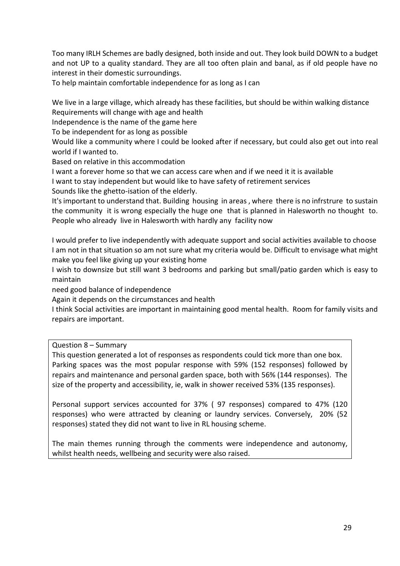Too many IRLH Schemes are badly designed, both inside and out. They look build DOWN to a budget and not UP to a quality standard. They are all too often plain and banal, as if old people have no interest in their domestic surroundings.

To help maintain comfortable independence for as long as I can

We live in a large village, which already has these facilities, but should be within walking distance Requirements will change with age and health

Independence is the name of the game here

To be independent for as long as possible

Would like a community where I could be looked after if necessary, but could also get out into real world if I wanted to.

Based on relative in this accommodation

I want a forever home so that we can access care when and if we need it it is available

I want to stay independent but would like to have safety of retirement services

Sounds like the ghetto-isation of the elderly.

It's important to understand that. Building housing in areas , where there is no infrstrure to sustain the community it is wrong especially the huge one that is planned in Halesworth no thought to. People who already live in Halesworth with hardly any facility now

I would prefer to live independently with adequate support and social activities available to choose I am not in that situation so am not sure what my criteria would be. Difficult to envisage what might make you feel like giving up your existing home

I wish to downsize but still want 3 bedrooms and parking but small/patio garden which is easy to maintain

need good balance of independence

Again it depends on the circumstances and health

I think Social activities are important in maintaining good mental health. Room for family visits and repairs are important.

Question 8 – Summary

This question generated a lot of responses as respondents could tick more than one box. Parking spaces was the most popular response with 59% (152 responses) followed by repairs and maintenance and personal garden space, both with 56% (144 responses). The size of the property and accessibility, ie, walk in shower received 53% (135 responses).

Personal support services accounted for 37% ( 97 responses) compared to 47% (120 responses) who were attracted by cleaning or laundry services. Conversely, 20% (52 responses) stated they did not want to live in RL housing scheme.

The main themes running through the comments were independence and autonomy, whilst health needs, wellbeing and security were also raised.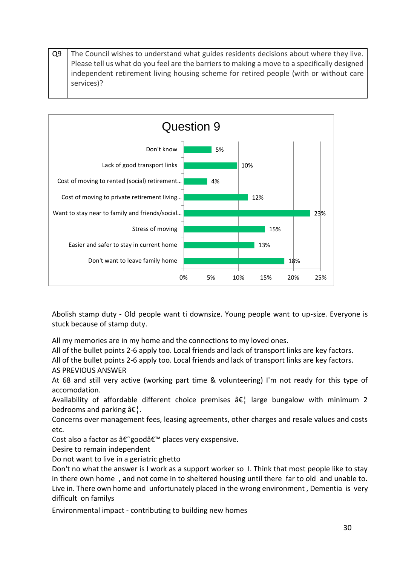$Q9$  The Council wishes to understand what guides residents decisions about where they live. Please tell us what do you feel are the barriers to making a move to a specifically designed independent retirement living housing scheme for retired people (with or without care services)?



Abolish stamp duty - Old people want ti downsize. Young people want to up-size. Everyone is stuck because of stamp duty.

All my memories are in my home and the connections to my loved ones.

All of the bullet points 2-6 apply too. Local friends and lack of transport links are key factors.

All of the bullet points 2-6 apply too. Local friends and lack of transport links are key factors. AS PREVIOUS ANSWER

At 68 and still very active (working part time & volunteering) I'm not ready for this type of accomodation.

Availability of affordable different choice premises  $\hat{a} \hat{\epsilon}$ <sup>1</sup> large bungalow with minimum 2 bedrooms and parking  $\hat{a}\hat{\epsilon}$ .

Concerns over management fees, leasing agreements, other charges and resale values and costs etc.

Cost also a factor as  $\hat{a}\in \tilde{g}$  good $\hat{a}\in \tilde{g}$  places very exspensive.

Desire to remain independent

Do not want to live in a geriatric ghetto

Don't no what the answer is I work as a support worker so I. Think that most people like to stay in there own home , and not come in to sheltered housing until there far to old and unable to. Live in. There own home and unfortunately placed in the wrong environment , Dementia is very difficult on familys

Environmental impact - contributing to building new homes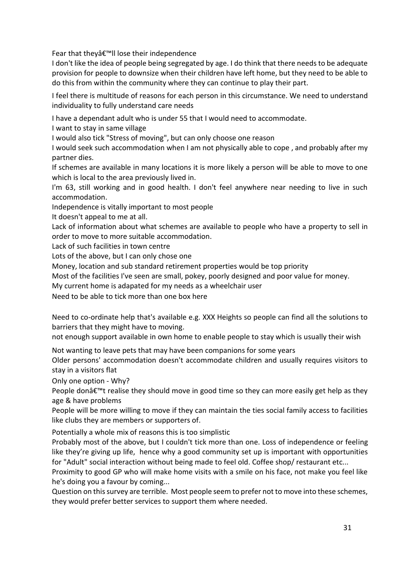Fear that they'll lose their independence

I don't like the idea of people being segregated by age. I do think that there needs to be adequate provision for people to downsize when their children have left home, but they need to be able to do this from within the community where they can continue to play their part.

I feel there is multitude of reasons for each person in this circumstance. We need to understand individuality to fully understand care needs

I have a dependant adult who is under 55 that I would need to accommodate.

I want to stay in same village

I would also tick "Stress of moving", but can only choose one reason

I would seek such accommodation when I am not physically able to cope , and probably after my partner dies.

If schemes are available in many locations it is more likely a person will be able to move to one which is local to the area previously lived in.

I'm 63, still working and in good health. I don't feel anywhere near needing to live in such accommodation.

Independence is vitally important to most people

It doesn't appeal to me at all.

Lack of information about what schemes are available to people who have a property to sell in order to move to more suitable accommodation.

Lack of such facilities in town centre

Lots of the above, but I can only chose one

Money, location and sub standard retirement properties would be top priority

Most of the facilities I've seen are small, pokey, poorly designed and poor value for money.

My current home is adapated for my needs as a wheelchair user

Need to be able to tick more than one box here

Need to co-ordinate help that's available e.g. XXX Heights so people can find all the solutions to barriers that they might have to moving.

not enough support available in own home to enable people to stay which is usually their wish

Not wanting to leave pets that may have been companions for some years

Older persons' accommodation doesn't accommodate children and usually requires visitors to stay in a visitors flat

Only one option - Why?

People don $\hat{\mathcal{A}} \in \mathbb{R}^m$  realise they should move in good time so they can more easily get help as they age & have problems

People will be more willing to move if they can maintain the ties social family access to facilities like clubs they are members or supporters of.

Potentially a whole mix of reasons this is too simplistic

Probably most of the above, but I couldn't tick more than one. Loss of independence or feeling like they're giving up life, hence why a good community set up is important with opportunities for "Adult" social interaction without being made to feel old. Coffee shop/ restaurant etc...

Proximity to good GP who will make home visits with a smile on his face, not make you feel like he's doing you a favour by coming...

Question on this survey are terrible. Most people seem to prefer not to move into these schemes, they would prefer better services to support them where needed.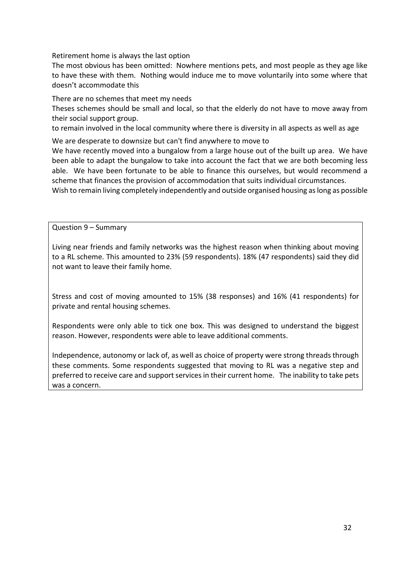Retirement home is always the last option

The most obvious has been omitted: Nowhere mentions pets, and most people as they age like to have these with them. Nothing would induce me to move voluntarily into some where that doesn't accommodate this

There are no schemes that meet my needs

Theses schemes should be small and local, so that the elderly do not have to move away from their social support group.

to remain involved in the local community where there is diversity in all aspects as well as age

We are desperate to downsize but can't find anywhere to move to

We have recently moved into a bungalow from a large house out of the built up area. We have been able to adapt the bungalow to take into account the fact that we are both becoming less able. We have been fortunate to be able to finance this ourselves, but would recommend a scheme that finances the provision of accommodation that suits individual circumstances.

Wish to remain living completely independently and outside organised housing as long as possible

Question 9 – Summary

Living near friends and family networks was the highest reason when thinking about moving to a RL scheme. This amounted to 23% (59 respondents). 18% (47 respondents) said they did not want to leave their family home.

Stress and cost of moving amounted to 15% (38 responses) and 16% (41 respondents) for private and rental housing schemes.

Respondents were only able to tick one box. This was designed to understand the biggest reason. However, respondents were able to leave additional comments.

Independence, autonomy or lack of, as well as choice of property were strong threads through these comments. Some respondents suggested that moving to RL was a negative step and preferred to receive care and support services in their current home. The inability to take pets was a concern.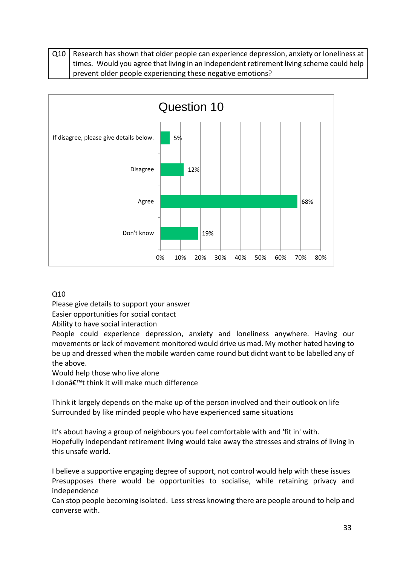| $\vert$ Q10 $\vert$ Research has shown that older people can experience depression, anxiety or loneliness at |
|--------------------------------------------------------------------------------------------------------------|
| times. Would you agree that living in an independent retirement living scheme could help                     |
| prevent older people experiencing these negative emotions?                                                   |



## Q10

Please give details to support your answer

Easier opportunities for social contact

Ability to have social interaction

People could experience depression, anxiety and loneliness anywhere. Having our movements or lack of movement monitored would drive us mad. My mother hated having to be up and dressed when the mobile warden came round but didnt want to be labelled any of the above.

Would help those who live alone

I don't think it will make much difference

Think it largely depends on the make up of the person involved and their outlook on life Surrounded by like minded people who have experienced same situations

It's about having a group of neighbours you feel comfortable with and 'fit in' with. Hopefully independant retirement living would take away the stresses and strains of living in this unsafe world.

I believe a supportive engaging degree of support, not control would help with these issues Presupposes there would be opportunities to socialise, while retaining privacy and independence

Can stop people becoming isolated. Less stress knowing there are people around to help and converse with.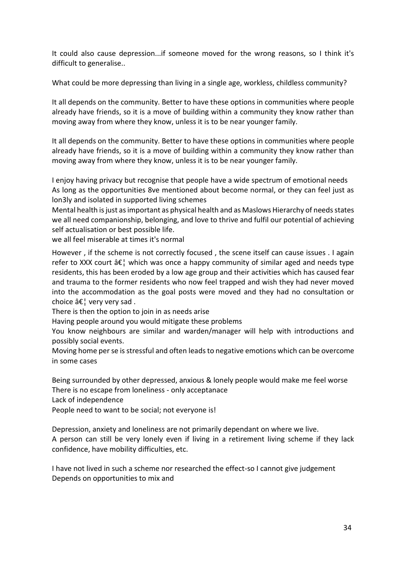It could also cause depression...if someone moved for the wrong reasons, so I think it's difficult to generalise..

What could be more depressing than living in a single age, workless, childless community?

It all depends on the community. Better to have these options in communities where people already have friends, so it is a move of building within a community they know rather than moving away from where they know, unless it is to be near younger family.

It all depends on the community. Better to have these options in communities where people already have friends, so it is a move of building within a community they know rather than moving away from where they know, unless it is to be near younger family.

I enjoy having privacy but recognise that people have a wide spectrum of emotional needs As long as the opportunities 8ve mentioned about become normal, or they can feel just as lon3ly and isolated in supported living schemes

Mental health is just as important as physical health and as Maslows Hierarchy of needs states we all need companionship, belonging, and love to thrive and fulfil our potential of achieving self actualisation or best possible life.

we all feel miserable at times it's normal

However, if the scheme is not correctly focused, the scene itself can cause issues . I again refer to XXX court  $\hat{a}\epsilon_1^{\dagger}$  which was once a happy community of similar aged and needs type residents, this has been eroded by a low age group and their activities which has caused fear and trauma to the former residents who now feel trapped and wish they had never moved into the accommodation as the goal posts were moved and they had no consultation or choice  $\hat{a} \in \{$  very very sad.

There is then the option to join in as needs arise

Having people around you would mitigate these problems

You know neighbours are similar and warden/manager will help with introductions and possibly social events.

Moving home per se is stressful and often leads to negative emotions which can be overcome in some cases

Being surrounded by other depressed, anxious & lonely people would make me feel worse There is no escape from loneliness - only acceptanace

Lack of independence

People need to want to be social; not everyone is!

Depression, anxiety and loneliness are not primarily dependant on where we live. A person can still be very lonely even if living in a retirement living scheme if they lack confidence, have mobility difficulties, etc.

I have not lived in such a scheme nor researched the effect-so I cannot give judgement Depends on opportunities to mix and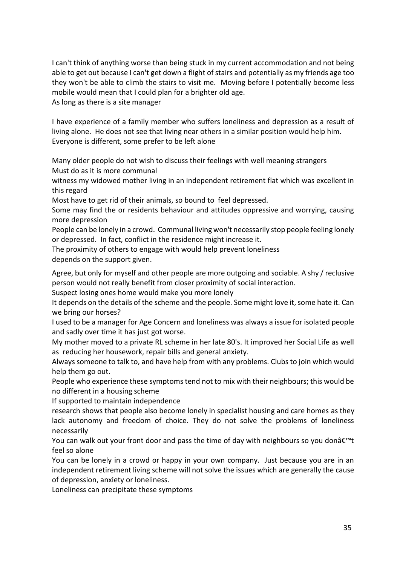I can't think of anything worse than being stuck in my current accommodation and not being able to get out because I can't get down a flight of stairs and potentially as my friends age too they won't be able to climb the stairs to visit me. Moving before I potentially become less mobile would mean that I could plan for a brighter old age.

As long as there is a site manager

I have experience of a family member who suffers loneliness and depression as a result of living alone. He does not see that living near others in a similar position would help him. Everyone is different, some prefer to be left alone

Many older people do not wish to discuss their feelings with well meaning strangers Must do as it is more communal

witness my widowed mother living in an independent retirement flat which was excellent in this regard

Most have to get rid of their animals, so bound to feel depressed.

Some may find the or residents behaviour and attitudes oppressive and worrying, causing more depression

People can be lonely in a crowd. Communal living won't necessarily stop people feeling lonely or depressed. In fact, conflict in the residence might increase it.

The proximity of others to engage with would help prevent loneliness

depends on the support given.

Agree, but only for myself and other people are more outgoing and sociable. A shy / reclusive person would not really benefit from closer proximity of social interaction.

Suspect losing ones home would make you more lonely

It depends on the details of the scheme and the people. Some might love it, some hate it. Can we bring our horses?

I used to be a manager for Age Concern and loneliness was always a issue for isolated people and sadly over time it has just got worse.

My mother moved to a private RL scheme in her late 80's. It improved her Social Life as well as reducing her housework, repair bills and general anxiety.

Always someone to talk to, and have help from with any problems. Clubs to join which would help them go out.

People who experience these symptoms tend not to mix with their neighbours; this would be no different in a housing scheme

If supported to maintain independence

research shows that people also become lonely in specialist housing and care homes as they lack autonomy and freedom of choice. They do not solve the problems of loneliness necessarily

You can walk out your front door and pass the time of day with neighbours so you donâ $\epsilon_{\text{m}}$ feel so alone

You can be lonely in a crowd or happy in your own company. Just because you are in an independent retirement living scheme will not solve the issues which are generally the cause of depression, anxiety or loneliness.

Loneliness can precipitate these symptoms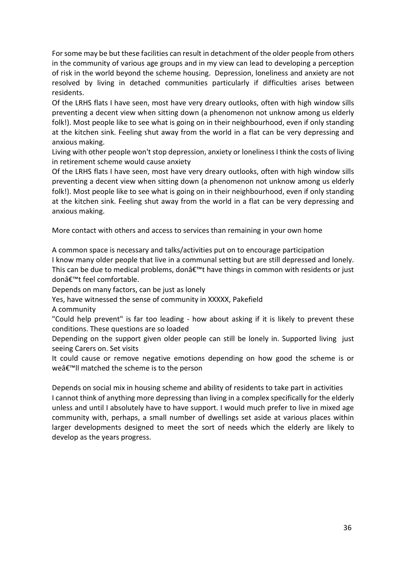For some may be but these facilities can result in detachment of the older people from others in the community of various age groups and in my view can lead to developing a perception of risk in the world beyond the scheme housing. Depression, loneliness and anxiety are not resolved by living in detached communities particularly if difficulties arises between residents.

Of the LRHS flats I have seen, most have very dreary outlooks, often with high window sills preventing a decent view when sitting down (a phenomenon not unknow among us elderly folk!). Most people like to see what is going on in their neighbourhood, even if only standing at the kitchen sink. Feeling shut away from the world in a flat can be very depressing and anxious making.

Living with other people won't stop depression, anxiety or loneliness I think the costs of living in retirement scheme would cause anxiety

Of the LRHS flats I have seen, most have very dreary outlooks, often with high window sills preventing a decent view when sitting down (a phenomenon not unknow among us elderly folk!). Most people like to see what is going on in their neighbourhood, even if only standing at the kitchen sink. Feeling shut away from the world in a flat can be very depressing and anxious making.

More contact with others and access to services than remaining in your own home

A common space is necessary and talks/activities put on to encourage participation I know many older people that live in a communal setting but are still depressed and lonely. This can be due to medical problems, don $\hat{\mathfrak{g}}^{\text{m}}$ t have things in common with residents or just donâ€<sup>™</sup>t feel comfortable.

Depends on many factors, can be just as lonely

Yes, have witnessed the sense of community in XXXXX, Pakefield

A community

"Could help prevent" is far too leading - how about asking if it is likely to prevent these conditions. These questions are so loaded

Depending on the support given older people can still be lonely in. Supported living just seeing Carers on. Set visits

It could cause or remove negative emotions depending on how good the scheme is or weâ€<sup>™</sup>ll matched the scheme is to the person

Depends on social mix in housing scheme and ability of residents to take part in activities I cannot think of anything more depressing than living in a complex specifically for the elderly unless and until I absolutely have to have support. I would much prefer to live in mixed age community with, perhaps, a small number of dwellings set aside at various places within larger developments designed to meet the sort of needs which the elderly are likely to develop as the years progress.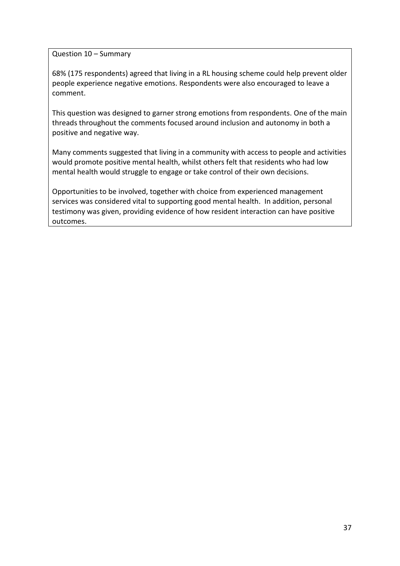Question 10 – Summary

68% (175 respondents) agreed that living in a RL housing scheme could help prevent older people experience negative emotions. Respondents were also encouraged to leave a comment.

This question was designed to garner strong emotions from respondents. One of the main threads throughout the comments focused around inclusion and autonomy in both a positive and negative way.

Many comments suggested that living in a community with access to people and activities would promote positive mental health, whilst others felt that residents who had low mental health would struggle to engage or take control of their own decisions.

Opportunities to be involved, together with choice from experienced management services was considered vital to supporting good mental health. In addition, personal testimony was given, providing evidence of how resident interaction can have positive outcomes.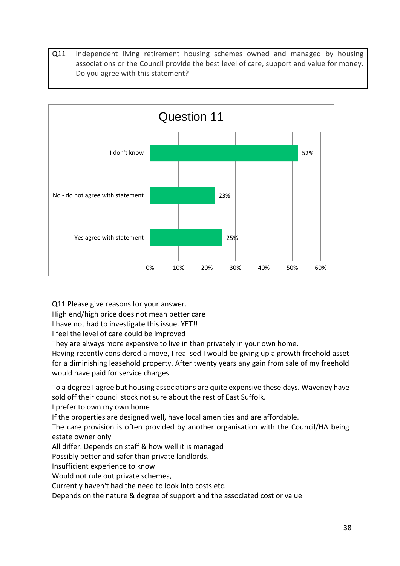Q11 | Independent living retirement housing schemes owned and managed by housing associations or the Council provide the best level of care, support and value for money. Do you agree with this statement?



Q11 Please give reasons for your answer.

High end/high price does not mean better care

I have not had to investigate this issue. YET!!

I feel the level of care could be improved

They are always more expensive to live in than privately in your own home.

Having recently considered a move, I realised I would be giving up a growth freehold asset for a diminishing leasehold property. After twenty years any gain from sale of my freehold would have paid for service charges.

To a degree I agree but housing associations are quite expensive these days. Waveney have sold off their council stock not sure about the rest of East Suffolk.

I prefer to own my own home

If the properties are designed well, have local amenities and are affordable.

The care provision is often provided by another organisation with the Council/HA being estate owner only

All differ. Depends on staff & how well it is managed

Possibly better and safer than private landlords.

Insufficient experience to know

Would not rule out private schemes,

Currently haven't had the need to look into costs etc.

Depends on the nature & degree of support and the associated cost or value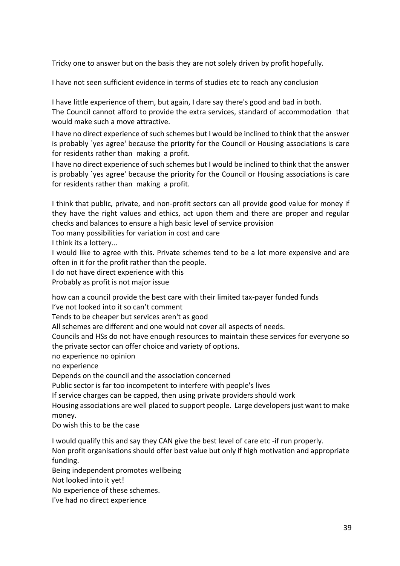Tricky one to answer but on the basis they are not solely driven by profit hopefully.

I have not seen sufficient evidence in terms of studies etc to reach any conclusion

I have little experience of them, but again, I dare say there's good and bad in both. The Council cannot afford to provide the extra services, standard of accommodation that would make such a move attractive.

I have no direct experience of such schemes but I would be inclined to think that the answer is probably `yes agree' because the priority for the Council or Housing associations is care for residents rather than making a profit.

I have no direct experience of such schemes but I would be inclined to think that the answer is probably `yes agree' because the priority for the Council or Housing associations is care for residents rather than making a profit.

I think that public, private, and non-profit sectors can all provide good value for money if they have the right values and ethics, act upon them and there are proper and regular checks and balances to ensure a high basic level of service provision

Too many possibilities for variation in cost and care

I think its a lottery...

I would like to agree with this. Private schemes tend to be a lot more expensive and are often in it for the profit rather than the people.

I do not have direct experience with this

Probably as profit is not major issue

how can a council provide the best care with their limited tax-payer funded funds

I've not looked into it so can't comment

Tends to be cheaper but services aren't as good

All schemes are different and one would not cover all aspects of needs.

Councils and HSs do not have enough resources to maintain these services for everyone so the private sector can offer choice and variety of options.

no experience no opinion

no experience

Depends on the council and the association concerned

Public sector is far too incompetent to interfere with people's lives

If service charges can be capped, then using private providers should work

Housing associations are well placed to support people. Large developers just want to make money.

Do wish this to be the case

I would qualify this and say they CAN give the best level of care etc -if run properly.

Non profit organisations should offer best value but only if high motivation and appropriate funding.

Being independent promotes wellbeing

Not looked into it yet!

No experience of these schemes.

I've had no direct experience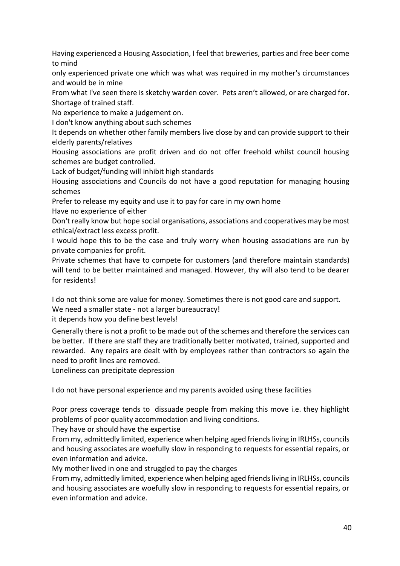Having experienced a Housing Association, I feel that breweries, parties and free beer come to mind

only experienced private one which was what was required in my mother's circumstances and would be in mine

From what I've seen there is sketchy warden cover. Pets aren't allowed, or are charged for. Shortage of trained staff.

No experience to make a judgement on.

I don't know anything about such schemes

It depends on whether other family members live close by and can provide support to their elderly parents/relatives

Housing associations are profit driven and do not offer freehold whilst council housing schemes are budget controlled.

Lack of budget/funding will inhibit high standards

Housing associations and Councils do not have a good reputation for managing housing schemes

Prefer to release my equity and use it to pay for care in my own home

Have no experience of either

Don't really know but hope social organisations, associations and cooperatives may be most ethical/extract less excess profit.

I would hope this to be the case and truly worry when housing associations are run by private companies for profit.

Private schemes that have to compete for customers (and therefore maintain standards) will tend to be better maintained and managed. However, thy will also tend to be dearer for residents!

I do not think some are value for money. Sometimes there is not good care and support. We need a smaller state - not a larger bureaucracy!

it depends how you define best levels!

Generally there is not a profit to be made out of the schemes and therefore the services can be better. If there are staff they are traditionally better motivated, trained, supported and rewarded. Any repairs are dealt with by employees rather than contractors so again the need to profit lines are removed.

Loneliness can precipitate depression

I do not have personal experience and my parents avoided using these facilities

Poor press coverage tends to dissuade people from making this move i.e. they highlight problems of poor quality accommodation and living conditions.

They have or should have the expertise

From my, admittedly limited, experience when helping aged friends living in IRLHSs, councils and housing associates are woefully slow in responding to requests for essential repairs, or even information and advice.

My mother lived in one and struggled to pay the charges

From my, admittedly limited, experience when helping aged friends living in IRLHSs, councils and housing associates are woefully slow in responding to requests for essential repairs, or even information and advice.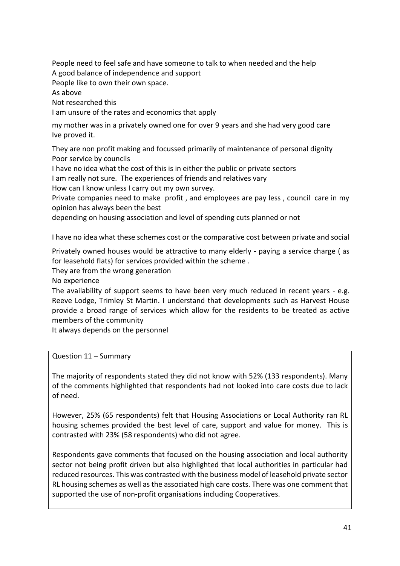People need to feel safe and have someone to talk to when needed and the help A good balance of independence and support

People like to own their own space.

As above

Not researched this

I am unsure of the rates and economics that apply

my mother was in a privately owned one for over 9 years and she had very good care Ive proved it.

They are non profit making and focussed primarily of maintenance of personal dignity Poor service by councils

I have no idea what the cost of this is in either the public or private sectors

I am really not sure. The experiences of friends and relatives vary

How can I know unless I carry out my own survey.

Private companies need to make profit , and employees are pay less , council care in my opinion has always been the best

depending on housing association and level of spending cuts planned or not

I have no idea what these schemes cost or the comparative cost between private and social

Privately owned houses would be attractive to many elderly - paying a service charge ( as for leasehold flats) for services provided within the scheme .

They are from the wrong generation

No experience

The availability of support seems to have been very much reduced in recent years - e.g. Reeve Lodge, Trimley St Martin. I understand that developments such as Harvest House provide a broad range of services which allow for the residents to be treated as active members of the community

It always depends on the personnel

Question 11 – Summary

The majority of respondents stated they did not know with 52% (133 respondents). Many of the comments highlighted that respondents had not looked into care costs due to lack of need.

However, 25% (65 respondents) felt that Housing Associations or Local Authority ran RL housing schemes provided the best level of care, support and value for money. This is contrasted with 23% (58 respondents) who did not agree.

Respondents gave comments that focused on the housing association and local authority sector not being profit driven but also highlighted that local authorities in particular had reduced resources. This was contrasted with the business model of leasehold private sector RL housing schemes as well as the associated high care costs. There was one comment that supported the use of non-profit organisations including Cooperatives.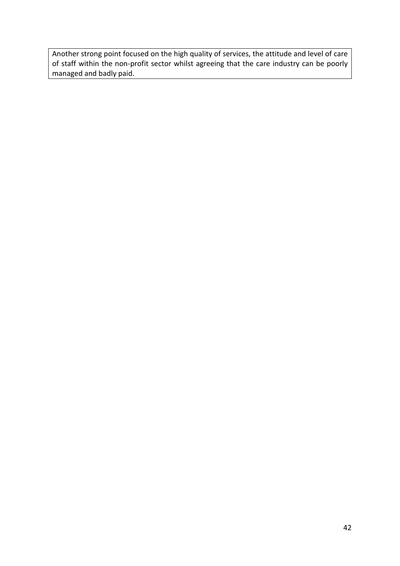Another strong point focused on the high quality of services, the attitude and level of care of staff within the non-profit sector whilst agreeing that the care industry can be poorly managed and badly paid.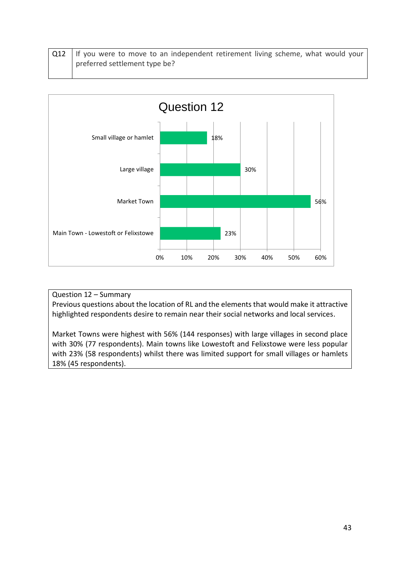| Q12   If you were to move to an independent retirement living scheme, what would your |
|---------------------------------------------------------------------------------------|
| preferred settlement type be?                                                         |



# Question 12 – Summary

Previous questions about the location of RL and the elements that would make it attractive highlighted respondents desire to remain near their social networks and local services.

Market Towns were highest with 56% (144 responses) with large villages in second place with 30% (77 respondents). Main towns like Lowestoft and Felixstowe were less popular with 23% (58 respondents) whilst there was limited support for small villages or hamlets 18% (45 respondents).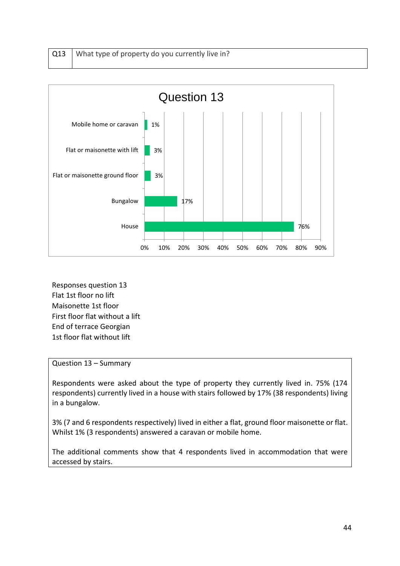|  | Q13   What type of property do you currently live in? |  |
|--|-------------------------------------------------------|--|
|--|-------------------------------------------------------|--|



Responses question 13 Flat 1st floor no lift Maisonette 1st floor First floor flat without a lift End of terrace Georgian 1st floor flat without lift

### Question 13 – Summary

Respondents were asked about the type of property they currently lived in. 75% (174 respondents) currently lived in a house with stairs followed by 17% (38 respondents) living in a bungalow.

3% (7 and 6 respondents respectively) lived in either a flat, ground floor maisonette or flat. Whilst 1% (3 respondents) answered a caravan or mobile home.

The additional comments show that 4 respondents lived in accommodation that were accessed by stairs.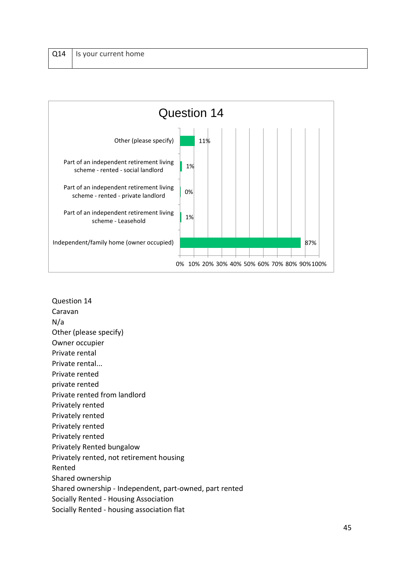

Question 14 Caravan N/a Other (please specify) Owner occupier Private rental Private rental... Private rented private rented Private rented from landlord Privately rented Privately rented Privately rented Privately rented Privately Rented bungalow Privately rented, not retirement housing Rented Shared ownership Shared ownership - Independent, part-owned, part rented Socially Rented - Housing Association Socially Rented - housing association flat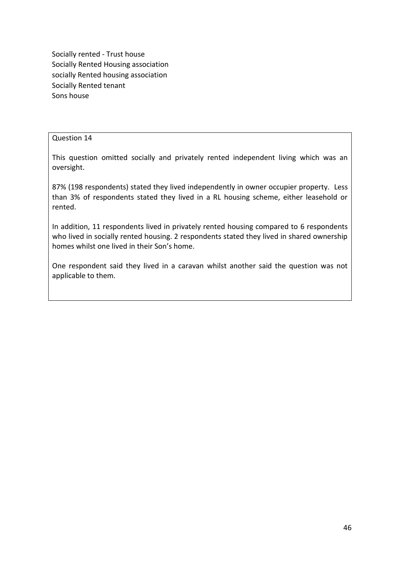Socially rented - Trust house Socially Rented Housing association socially Rented housing association Socially Rented tenant Sons house

### Question 14

This question omitted socially and privately rented independent living which was an oversight.

87% (198 respondents) stated they lived independently in owner occupier property. Less than 3% of respondents stated they lived in a RL housing scheme, either leasehold or rented.

In addition, 11 respondents lived in privately rented housing compared to 6 respondents who lived in socially rented housing. 2 respondents stated they lived in shared ownership homes whilst one lived in their Son's home.

One respondent said they lived in a caravan whilst another said the question was not applicable to them.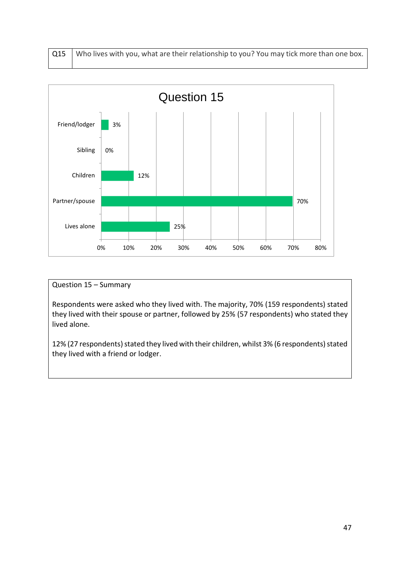| Q15   Who lives with you, what are their relationship to you? You may tick more than one box. |
|-----------------------------------------------------------------------------------------------|
|                                                                                               |



# Question 15 – Summary

Respondents were asked who they lived with. The majority, 70% (159 respondents) stated they lived with their spouse or partner, followed by 25% (57 respondents) who stated they lived alone.

12% (27 respondents) stated they lived with their children, whilst 3% (6 respondents) stated they lived with a friend or lodger.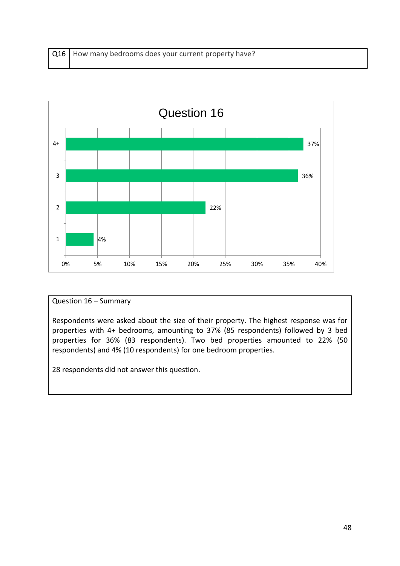| Q16   How many bedrooms does your current property have? |  |
|----------------------------------------------------------|--|
|                                                          |  |



### Question 16 – Summary

Respondents were asked about the size of their property. The highest response was for properties with 4+ bedrooms, amounting to 37% (85 respondents) followed by 3 bed properties for 36% (83 respondents). Two bed properties amounted to 22% (50 respondents) and 4% (10 respondents) for one bedroom properties.

28 respondents did not answer this question.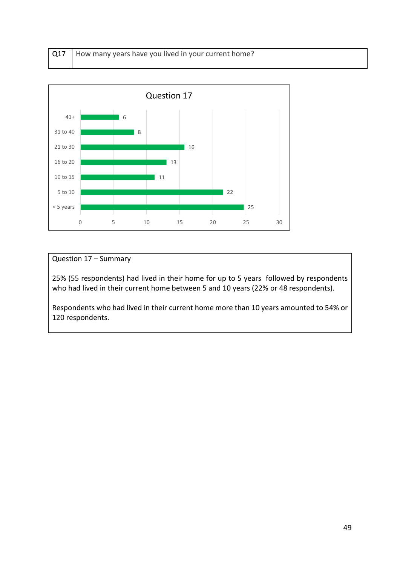| Q17   How many years have you lived in your current home? |
|-----------------------------------------------------------|
|                                                           |



# Question 17 – Summary

25% (55 respondents) had lived in their home for up to 5 years followed by respondents who had lived in their current home between 5 and 10 years (22% or 48 respondents).

Respondents who had lived in their current home more than 10 years amounted to 54% or 120 respondents.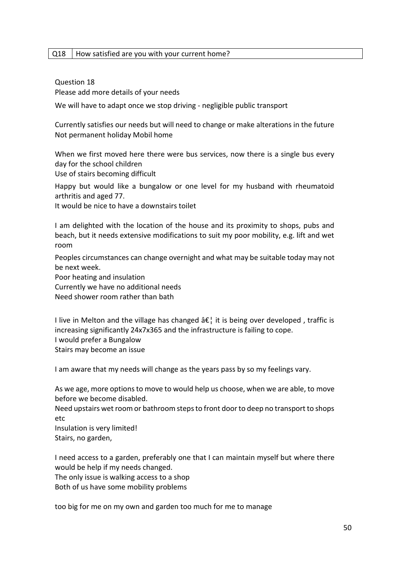#### Q18 | How satisfied are you with your current home?

Question 18

Please add more details of your needs

We will have to adapt once we stop driving - negligible public transport

Currently satisfies our needs but will need to change or make alterations in the future Not permanent holiday Mobil home

When we first moved here there were bus services, now there is a single bus every day for the school children

Use of stairs becoming difficult

Happy but would like a bungalow or one level for my husband with rheumatoid arthritis and aged 77.

It would be nice to have a downstairs toilet

I am delighted with the location of the house and its proximity to shops, pubs and beach, but it needs extensive modifications to suit my poor mobility, e.g. lift and wet room

Peoples circumstances can change overnight and what may be suitable today may not be next week.

Poor heating and insulation

Currently we have no additional needs

Need shower room rather than bath

I live in Melton and the village has changed  $\hat{\sigma} \in \{$  it is being over developed, traffic is increasing significantly 24x7x365 and the infrastructure is failing to cope. I would prefer a Bungalow Stairs may become an issue

I am aware that my needs will change as the years pass by so my feelings vary.

As we age, more options to move to would help us choose, when we are able, to move before we become disabled.

Need upstairs wet room or bathroom steps to front door to deep no transport to shops etc

Insulation is very limited! Stairs, no garden,

I need access to a garden, preferably one that I can maintain myself but where there would be help if my needs changed.

The only issue is walking access to a shop

Both of us have some mobility problems

too big for me on my own and garden too much for me to manage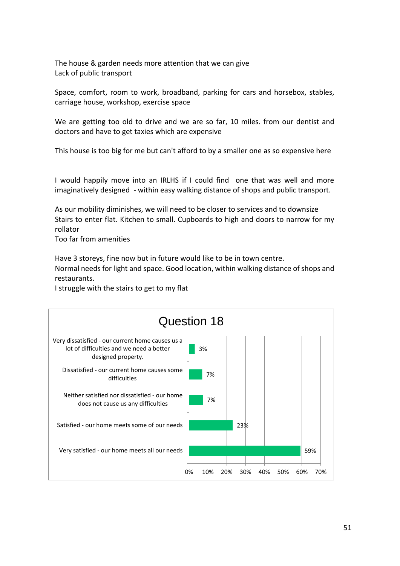The house & garden needs more attention that we can give Lack of public transport

Space, comfort, room to work, broadband, parking for cars and horsebox, stables, carriage house, workshop, exercise space

We are getting too old to drive and we are so far, 10 miles. from our dentist and doctors and have to get taxies which are expensive

This house is too big for me but can't afford to by a smaller one as so expensive here

I would happily move into an IRLHS if I could find one that was well and more imaginatively designed - within easy walking distance of shops and public transport.

As our mobility diminishes, we will need to be closer to services and to downsize Stairs to enter flat. Kitchen to small. Cupboards to high and doors to narrow for my rollator

Too far from amenities

Have 3 storeys, fine now but in future would like to be in town centre. Normal needs for light and space. Good location, within walking distance of shops and restaurants.

I struggle with the stairs to get to my flat

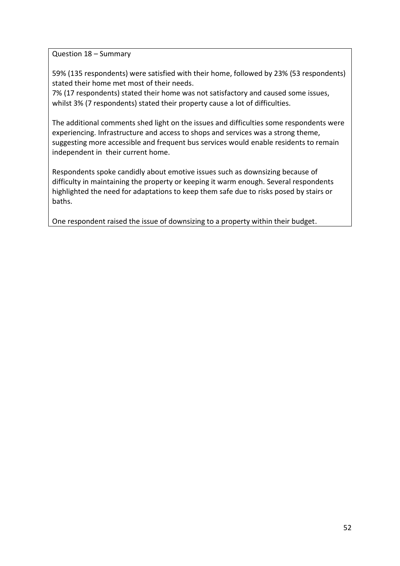Question 18 – Summary

59% (135 respondents) were satisfied with their home, followed by 23% (53 respondents) stated their home met most of their needs.

7% (17 respondents) stated their home was not satisfactory and caused some issues, whilst 3% (7 respondents) stated their property cause a lot of difficulties.

The additional comments shed light on the issues and difficulties some respondents were experiencing. Infrastructure and access to shops and services was a strong theme, suggesting more accessible and frequent bus services would enable residents to remain independent in their current home.

Respondents spoke candidly about emotive issues such as downsizing because of difficulty in maintaining the property or keeping it warm enough. Several respondents highlighted the need for adaptations to keep them safe due to risks posed by stairs or baths.

One respondent raised the issue of downsizing to a property within their budget.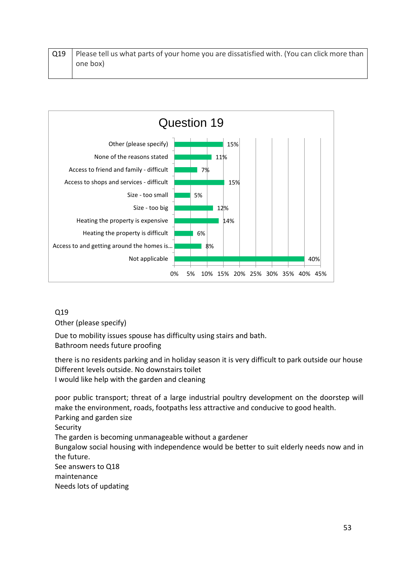| $\mid$ Q19 $\mid$ Please tell us what parts of your home you are dissatisfied with. (You can click more than |
|--------------------------------------------------------------------------------------------------------------|
| one box)                                                                                                     |



### Q19 Other (please specify)

Due to mobility issues spouse has difficulty using stairs and bath. Bathroom needs future proofing

there is no residents parking and in holiday season it is very difficult to park outside our house Different levels outside. No downstairs toilet I would like help with the garden and cleaning

poor public transport; threat of a large industrial poultry development on the doorstep will make the environment, roads, footpaths less attractive and conducive to good health. Parking and garden size Security The garden is becoming unmanageable without a gardener Bungalow social housing with independence would be better to suit elderly needs now and in the future. See answers to Q18 maintenance Needs lots of updating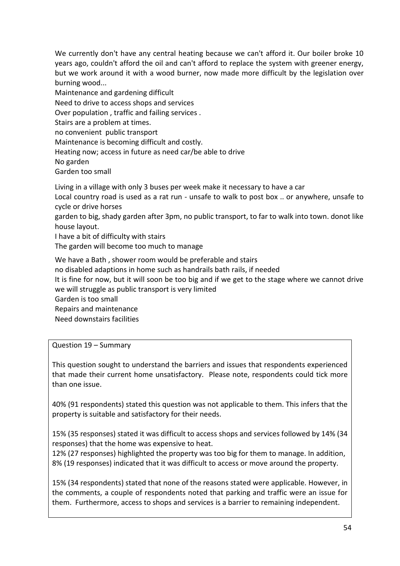We currently don't have any central heating because we can't afford it. Our boiler broke 10 years ago, couldn't afford the oil and can't afford to replace the system with greener energy, but we work around it with a wood burner, now made more difficult by the legislation over burning wood...

Maintenance and gardening difficult Need to drive to access shops and services Over population , traffic and failing services . Stairs are a problem at times. no convenient public transport Maintenance is becoming difficult and costly. Heating now; access in future as need car/be able to drive No garden Garden too small Living in a village with only 3 buses per week make it necessary to have a car Local country road is used as a rat run - unsafe to walk to post box .. or anywhere, unsafe to cycle or drive horses

garden to big, shady garden after 3pm, no public transport, to far to walk into town. donot like house layout.

I have a bit of difficulty with stairs

The garden will become too much to manage

We have a Bath , shower room would be preferable and stairs no disabled adaptions in home such as handrails bath rails, if needed It is fine for now, but it will soon be too big and if we get to the stage where we cannot drive we will struggle as public transport is very limited Garden is too small Repairs and maintenance Need downstairs facilities

### Question 19 – Summary

This question sought to understand the barriers and issues that respondents experienced that made their current home unsatisfactory. Please note, respondents could tick more than one issue.

40% (91 respondents) stated this question was not applicable to them. This infers that the property is suitable and satisfactory for their needs.

15% (35 responses) stated it was difficult to access shops and services followed by 14% (34 responses) that the home was expensive to heat.

12% (27 responses) highlighted the property was too big for them to manage. In addition, 8% (19 responses) indicated that it was difficult to access or move around the property.

15% (34 respondents) stated that none of the reasons stated were applicable. However, in the comments, a couple of respondents noted that parking and traffic were an issue for them. Furthermore, access to shops and services is a barrier to remaining independent.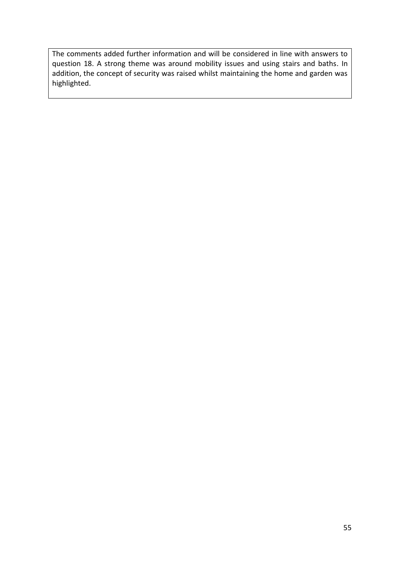The comments added further information and will be considered in line with answers to question 18. A strong theme was around mobility issues and using stairs and baths. In addition, the concept of security was raised whilst maintaining the home and garden was highlighted.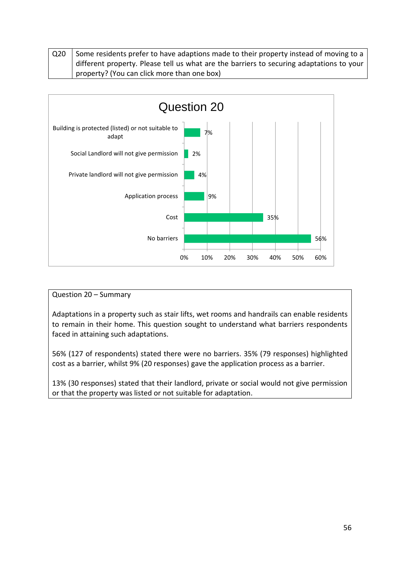| Q <sub>20</sub> | Some residents prefer to have adaptions made to their property instead of moving to a    |
|-----------------|------------------------------------------------------------------------------------------|
|                 | different property. Please tell us what are the barriers to securing adaptations to your |
|                 | property? (You can click more than one box)                                              |



# Question 20 – Summary

Adaptations in a property such as stair lifts, wet rooms and handrails can enable residents to remain in their home. This question sought to understand what barriers respondents faced in attaining such adaptations.

56% (127 of respondents) stated there were no barriers. 35% (79 responses) highlighted cost as a barrier, whilst 9% (20 responses) gave the application process as a barrier.

13% (30 responses) stated that their landlord, private or social would not give permission or that the property was listed or not suitable for adaptation.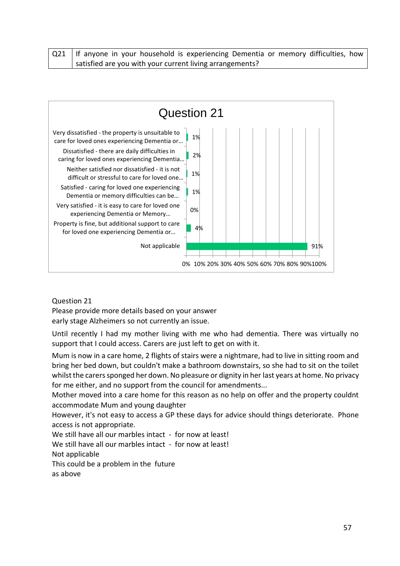| Q21   If anyone in your household is experiencing Dementia or memory difficulties, how |  |
|----------------------------------------------------------------------------------------|--|
| I satisfied are you with your current living arrangements?                             |  |



Question 21

Please provide more details based on your answer early stage Alzheimers so not currently an issue.

Until recently I had my mother living with me who had dementia. There was virtually no support that I could access. Carers are just left to get on with it.

Mum is now in a care home, 2 flights of stairs were a nightmare, had to live in sitting room and bring her bed down, but couldn't make a bathroom downstairs, so she had to sit on the toilet whilst the carers sponged her down. No pleasure or dignity in her last years at home. No privacy for me either, and no support from the council for amendments...

Mother moved into a care home for this reason as no help on offer and the property couldnt accommodate Mum and young daughter

However, it's not easy to access a GP these days for advice should things deteriorate. Phone access is not appropriate.

We still have all our marbles intact - for now at least!

We still have all our marbles intact - for now at least!

Not applicable

This could be a problem in the future

as above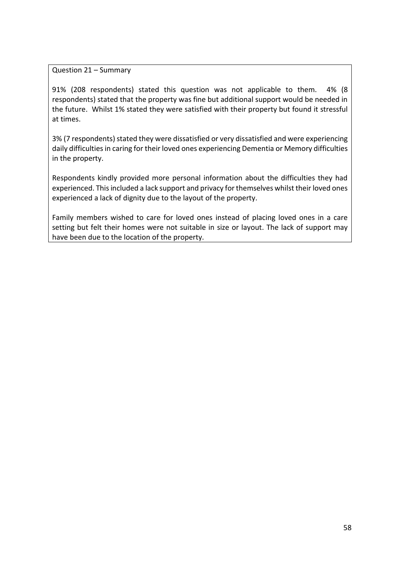Question 21 – Summary

91% (208 respondents) stated this question was not applicable to them. 4% (8 respondents) stated that the property was fine but additional support would be needed in the future. Whilst 1% stated they were satisfied with their property but found it stressful at times.

3% (7 respondents) stated they were dissatisfied or very dissatisfied and were experiencing daily difficulties in caring for their loved ones experiencing Dementia or Memory difficulties in the property.

Respondents kindly provided more personal information about the difficulties they had experienced. This included a lack support and privacy for themselves whilst their loved ones experienced a lack of dignity due to the layout of the property.

Family members wished to care for loved ones instead of placing loved ones in a care setting but felt their homes were not suitable in size or layout. The lack of support may have been due to the location of the property.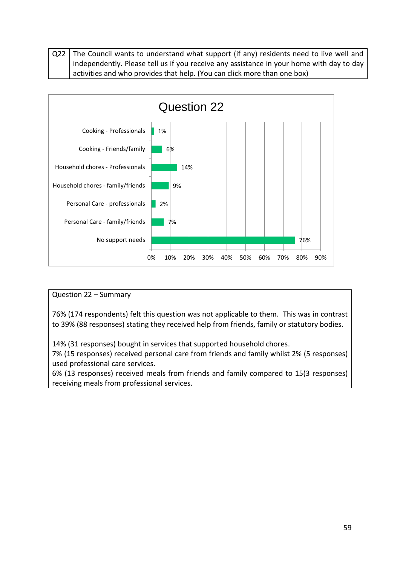| $Q22$ The Council wants to understand what support (if any) residents need to live well and |
|---------------------------------------------------------------------------------------------|
| independently. Please tell us if you receive any assistance in your home with day to day    |
| activities and who provides that help. (You can click more than one box)                    |



Question 22 – Summary

76% (174 respondents) felt this question was not applicable to them. This was in contrast to 39% (88 responses) stating they received help from friends, family or statutory bodies.

14% (31 responses) bought in services that supported household chores.

7% (15 responses) received personal care from friends and family whilst 2% (5 responses) used professional care services.

6% (13 responses) received meals from friends and family compared to 15(3 responses) receiving meals from professional services.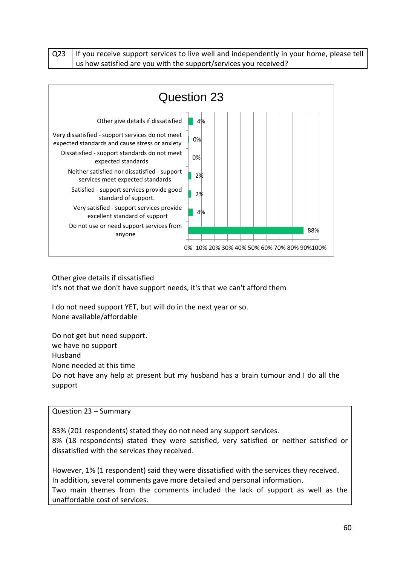$Q23$  If you receive support services to live well and independently in your home, please tell us how satisfied are you with the support/services you received?



Other give details if dissatisfied It's not that we don't have support needs, it's that we can't afford them

I do not need support YET, but will do in the next year or so. None available/affordable

Do not get but need support. we have no support Husband None needed at this time Do not have any help at present but my husband has a brain tumour and I do all the support

Question 23 – Summary

83% (201 respondents) stated they do not need any support services. 8% (18 respondents) stated they were satisfied, very satisfied or neither satisfied or dissatisfied with the services they received.

However, 1% (1 respondent) said they were dissatisfied with the services they received. In addition, several comments gave more detailed and personal information. Two main themes from the comments included the lack of support as well as the unaffordable cost of services.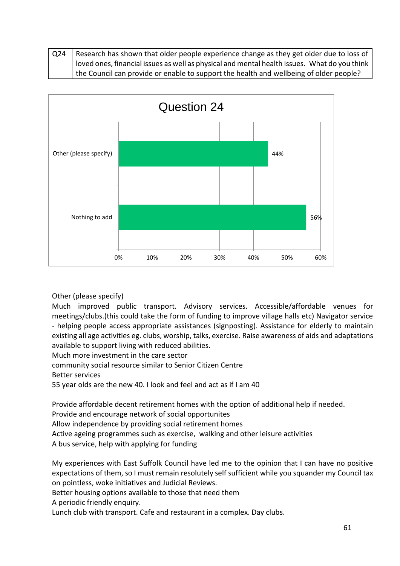| Q24 | Research has shown that older people experience change as they get older due to loss of      |
|-----|----------------------------------------------------------------------------------------------|
|     | loved ones, financial issues as well as physical and mental health issues. What do you think |
|     | the Council can provide or enable to support the health and wellbeing of older people?       |



Other (please specify)

Much improved public transport. Advisory services. Accessible/affordable venues for meetings/clubs.(this could take the form of funding to improve village halls etc) Navigator service - helping people access appropriate assistances (signposting). Assistance for elderly to maintain existing all age activities eg. clubs, worship, talks, exercise. Raise awareness of aids and adaptations available to support living with reduced abilities.

Much more investment in the care sector

community social resource similar to Senior Citizen Centre

Better services

55 year olds are the new 40. I look and feel and act as if I am 40

Provide affordable decent retirement homes with the option of additional help if needed.

Provide and encourage network of social opportunites

Allow independence by providing social retirement homes

Active ageing programmes such as exercise, walking and other leisure activities

A bus service, help with applying for funding

My experiences with East Suffolk Council have led me to the opinion that I can have no positive expectations of them, so I must remain resolutely self sufficient while you squander my Council tax on pointless, woke initiatives and Judicial Reviews.

Better housing options available to those that need them

A periodic friendly enquiry.

Lunch club with transport. Cafe and restaurant in a complex. Day clubs.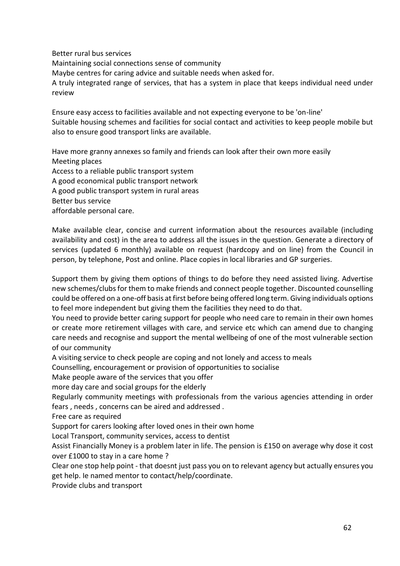Better rural bus services Maintaining social connections sense of community Maybe centres for caring advice and suitable needs when asked for. A truly integrated range of services, that has a system in place that keeps individual need under review

Ensure easy access to facilities available and not expecting everyone to be 'on-line' Suitable housing schemes and facilities for social contact and activities to keep people mobile but also to ensure good transport links are available.

Have more granny annexes so family and friends can look after their own more easily Meeting places Access to a reliable public transport system A good economical public transport network A good public transport system in rural areas Better bus service affordable personal care.

Make available clear, concise and current information about the resources available (including availability and cost) in the area to address all the issues in the question. Generate a directory of services (updated 6 monthly) available on request (hardcopy and on line) from the Council in person, by telephone, Post and online. Place copies in local libraries and GP surgeries.

Support them by giving them options of things to do before they need assisted living. Advertise new schemes/clubs for them to make friends and connect people together. Discounted counselling could be offered on a one-off basis at first before being offered long term. Giving individuals options to feel more independent but giving them the facilities they need to do that.

You need to provide better caring support for people who need care to remain in their own homes or create more retirement villages with care, and service etc which can amend due to changing care needs and recognise and support the mental wellbeing of one of the most vulnerable section of our community

A visiting service to check people are coping and not lonely and access to meals

Counselling, encouragement or provision of opportunities to socialise

Make people aware of the services that you offer

more day care and social groups for the elderly

Regularly community meetings with professionals from the various agencies attending in order fears , needs , concerns can be aired and addressed .

Free care as required

Support for carers looking after loved ones in their own home

Local Transport, community services, access to dentist

Assist Financially Money is a problem later in life. The pension is £150 on average why dose it cost over £1000 to stay in a care home ?

Clear one stop help point - that doesnt just pass you on to relevant agency but actually ensures you get help. Ie named mentor to contact/help/coordinate.

Provide clubs and transport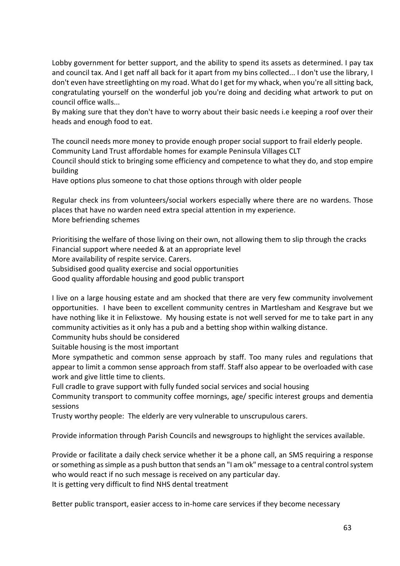Lobby government for better support, and the ability to spend its assets as determined. I pay tax and council tax. And I get naff all back for it apart from my bins collected... I don't use the library, I don't even have streetlighting on my road. What do I get for my whack, when you're all sitting back, congratulating yourself on the wonderful job you're doing and deciding what artwork to put on council office walls...

By making sure that they don't have to worry about their basic needs i.e keeping a roof over their heads and enough food to eat.

The council needs more money to provide enough proper social support to frail elderly people. Community Land Trust affordable homes for example Peninsula Villages CLT

Council should stick to bringing some efficiency and competence to what they do, and stop empire building

Have options plus someone to chat those options through with older people

Regular check ins from volunteers/social workers especially where there are no wardens. Those places that have no warden need extra special attention in my experience. More befriending schemes

Prioritising the welfare of those living on their own, not allowing them to slip through the cracks Financial support where needed & at an appropriate level More availability of respite service. Carers. Subsidised good quality exercise and social opportunities

Good quality affordable housing and good public transport

I live on a large housing estate and am shocked that there are very few community involvement opportunities. I have been to excellent community centres in Martlesham and Kesgrave but we have nothing like it in Felixstowe. My housing estate is not well served for me to take part in any community activities as it only has a pub and a betting shop within walking distance.

Community hubs should be considered

Suitable housing is the most important

More sympathetic and common sense approach by staff. Too many rules and regulations that appear to limit a common sense approach from staff. Staff also appear to be overloaded with case work and give little time to clients.

Full cradle to grave support with fully funded social services and social housing

Community transport to community coffee mornings, age/ specific interest groups and dementia sessions

Trusty worthy people: The elderly are very vulnerable to unscrupulous carers.

Provide information through Parish Councils and newsgroups to highlight the services available.

Provide or facilitate a daily check service whether it be a phone call, an SMS requiring a response or something as simple as a push button that sends an "I am ok" message to a central control system who would react if no such message is received on any particular day. It is getting very difficult to find NHS dental treatment

Better public transport, easier access to in-home care services if they become necessary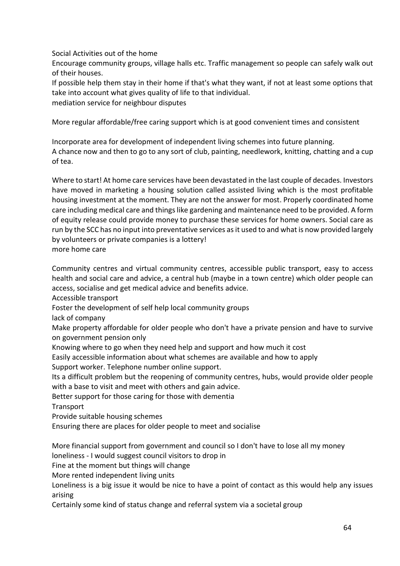Social Activities out of the home

Encourage community groups, village halls etc. Traffic management so people can safely walk out of their houses.

If possible help them stay in their home if that's what they want, if not at least some options that take into account what gives quality of life to that individual. mediation service for neighbour disputes

More regular affordable/free caring support which is at good convenient times and consistent

Incorporate area for development of independent living schemes into future planning. A chance now and then to go to any sort of club, painting, needlework, knitting, chatting and a cup of tea.

Where to start! At home care services have been devastated in the last couple of decades. Investors have moved in marketing a housing solution called assisted living which is the most profitable housing investment at the moment. They are not the answer for most. Properly coordinated home care including medical care and things like gardening and maintenance need to be provided. A form of equity release could provide money to purchase these services for home owners. Social care as run by the SCC has no input into preventative services as it used to and what is now provided largely by volunteers or private companies is a lottery! more home care

Community centres and virtual community centres, accessible public transport, easy to access health and social care and advice, a central hub (maybe in a town centre) which older people can access, socialise and get medical advice and benefits advice.

Accessible transport

Foster the development of self help local community groups

lack of company

Make property affordable for older people who don't have a private pension and have to survive on government pension only

Knowing where to go when they need help and support and how much it cost

Easily accessible information about what schemes are available and how to apply

Support worker. Telephone number online support.

Its a difficult problem but the reopening of community centres, hubs, would provide older people with a base to visit and meet with others and gain advice.

Better support for those caring for those with dementia

Transport

Provide suitable housing schemes

Ensuring there are places for older people to meet and socialise

More financial support from government and council so I don't have to lose all my money

loneliness - I would suggest council visitors to drop in

Fine at the moment but things will change

More rented independent living units

Loneliness is a big issue it would be nice to have a point of contact as this would help any issues arising

Certainly some kind of status change and referral system via a societal group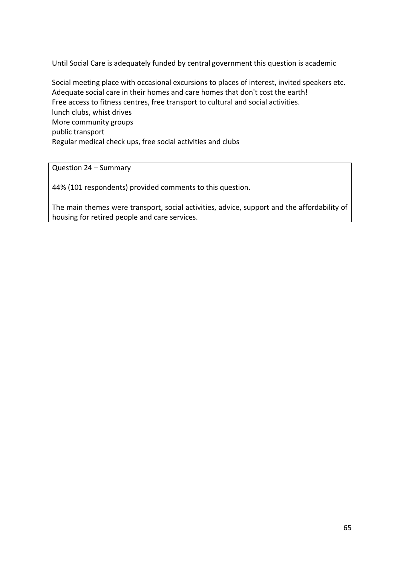Until Social Care is adequately funded by central government this question is academic

Social meeting place with occasional excursions to places of interest, invited speakers etc. Adequate social care in their homes and care homes that don't cost the earth! Free access to fitness centres, free transport to cultural and social activities. lunch clubs, whist drives More community groups public transport Regular medical check ups, free social activities and clubs

Question 24 – Summary

44% (101 respondents) provided comments to this question.

The main themes were transport, social activities, advice, support and the affordability of housing for retired people and care services.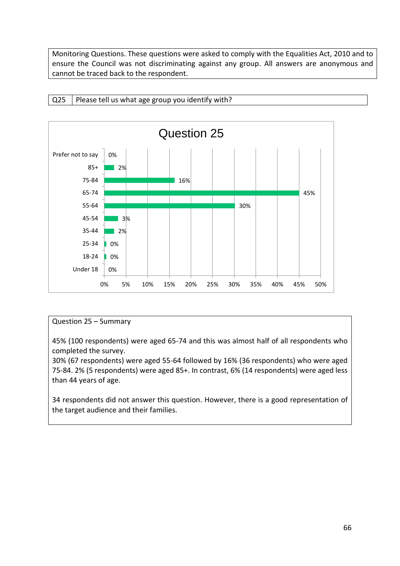Monitoring Questions. These questions were asked to comply with the Equalities Act, 2010 and to ensure the Council was not discriminating against any group. All answers are anonymous and cannot be traced back to the respondent.

 $Q25$  Please tell us what age group you identify with?



### Question 25 – Summary

45% (100 respondents) were aged 65-74 and this was almost half of all respondents who completed the survey.

30% (67 respondents) were aged 55-64 followed by 16% (36 respondents) who were aged 75-84. 2% (5 respondents) were aged 85+. In contrast, 6% (14 respondents) were aged less than 44 years of age.

34 respondents did not answer this question. However, there is a good representation of the target audience and their families.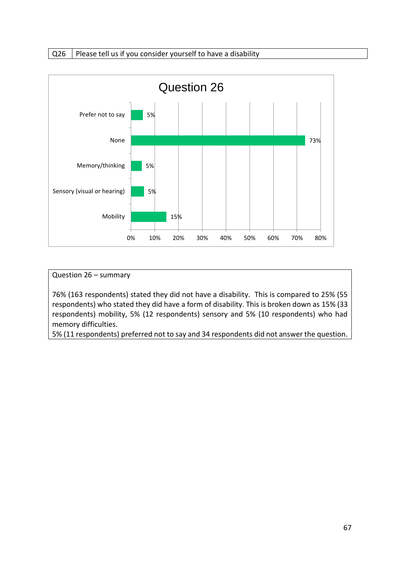$Q26$  Please tell us if you consider yourself to have a disability



### Question 26 – summary

76% (163 respondents) stated they did not have a disability. This is compared to 25% (55 respondents) who stated they did have a form of disability. This is broken down as 15% (33 respondents) mobility, 5% (12 respondents) sensory and 5% (10 respondents) who had memory difficulties.

5% (11 respondents) preferred not to say and 34 respondents did not answer the question.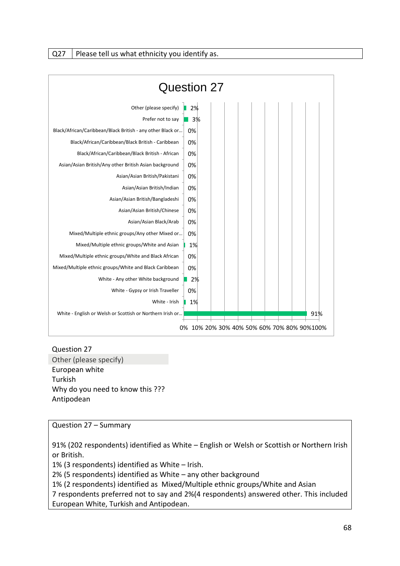$Q27$  Please tell us what ethnicity you identify as.



Question 27 Other (please specify) European white Turkish Why do you need to know this ??? Antipodean

Question 27 – Summary

91% (202 respondents) identified as White – English or Welsh or Scottish or Northern Irish or British.

1% (3 respondents) identified as White – Irish.

2% (5 respondents) identified as White – any other background

1% (2 respondents) identified as Mixed/Multiple ethnic groups/White and Asian

7 respondents preferred not to say and 2%(4 respondents) answered other. This included European White, Turkish and Antipodean.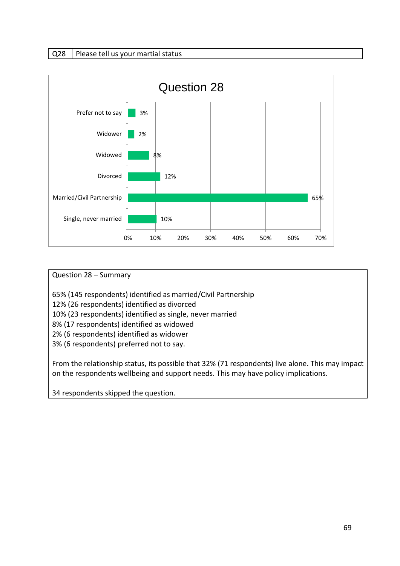Q28 | Please tell us your martial status



### Question 28 – Summary

65% (145 respondents) identified as married/Civil Partnership

12% (26 respondents) identified as divorced

10% (23 respondents) identified as single, never married

8% (17 respondents) identified as widowed

2% (6 respondents) identified as widower

3% (6 respondents) preferred not to say.

From the relationship status, its possible that 32% (71 respondents) live alone. This may impact on the respondents wellbeing and support needs. This may have policy implications.

34 respondents skipped the question.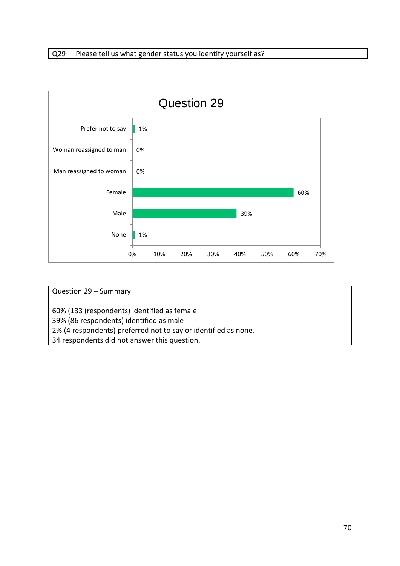$Q29$  Please tell us what gender status you identify yourself as?



### Question 29 – Summary

60% (133 (respondents) identified as female

39% (86 respondents) identified as male

2% (4 respondents) preferred not to say or identified as none.

34 respondents did not answer this question.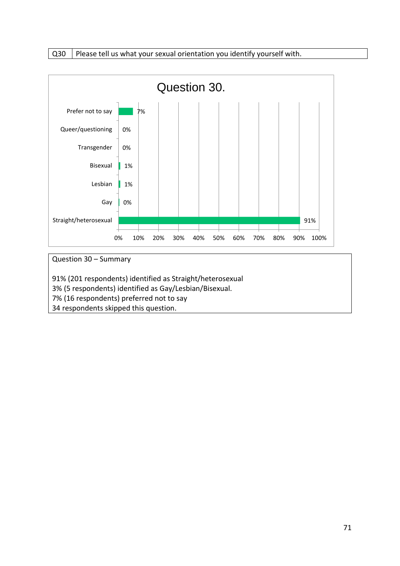$Q30$  Please tell us what your sexual orientation you identify yourself with.



91% (201 respondents) identified as Straight/heterosexual

3% (5 respondents) identified as Gay/Lesbian/Bisexual.

7% (16 respondents) preferred not to say

34 respondents skipped this question.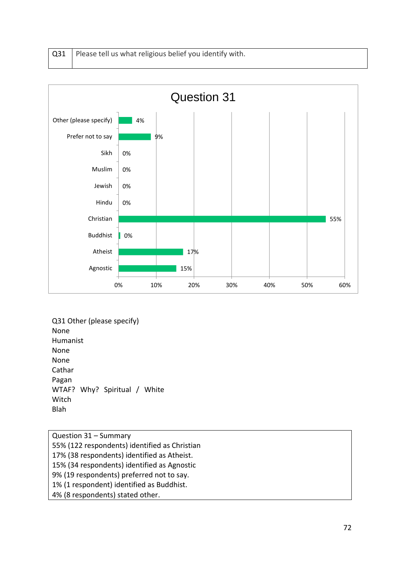| $Q31$   Please tell us what religious belief you identify with. |
|-----------------------------------------------------------------|
|                                                                 |



Q31 Other (please specify) None Humanist None None Cathar Pagan WTAF? Why? Spiritual / White Witch Blah

Question 31 – Summary 55% (122 respondents) identified as Christian 17% (38 respondents) identified as Atheist. 15% (34 respondents) identified as Agnostic 9% (19 respondents) preferred not to say. 1% (1 respondent) identified as Buddhist. 4% (8 respondents) stated other.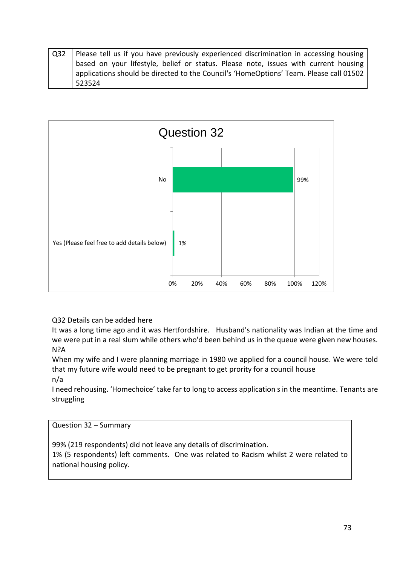| $\sqrt{2}$ Q32   Please tell us if you have previously experienced discrimination in accessing housing |
|--------------------------------------------------------------------------------------------------------|
| based on your lifestyle, belief or status. Please note, issues with current housing                    |
| applications should be directed to the Council's 'HomeOptions' Team. Please call 01502                 |
| 523524                                                                                                 |



Q32 Details can be added here

It was a long time ago and it was Hertfordshire. Husband's nationality was Indian at the time and we were put in a real slum while others who'd been behind us in the queue were given new houses. N?A

When my wife and I were planning marriage in 1980 we applied for a council house. We were told that my future wife would need to be pregnant to get prority for a council house

n/a

I need rehousing. 'Homechoice' take far to long to access application s in the meantime. Tenants are struggling

Question 32 – Summary

99% (219 respondents) did not leave any details of discrimination.

1% (5 respondents) left comments. One was related to Racism whilst 2 were related to national housing policy.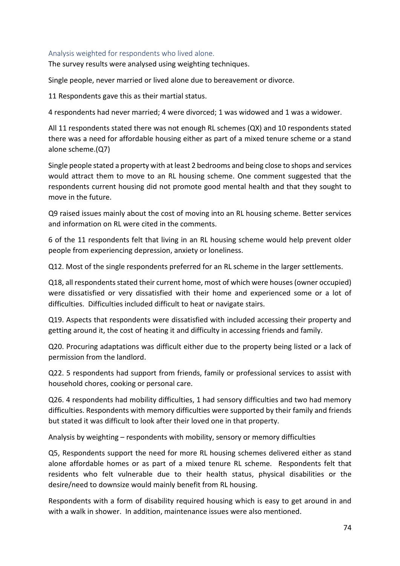## Analysis weighted for respondents who lived alone.

The survey results were analysed using weighting techniques.

Single people, never married or lived alone due to bereavement or divorce.

11 Respondents gave this as their martial status.

4 respondents had never married; 4 were divorced; 1 was widowed and 1 was a widower.

All 11 respondents stated there was not enough RL schemes (QX) and 10 respondents stated there was a need for affordable housing either as part of a mixed tenure scheme or a stand alone scheme.(Q7)

Single people stated a property with at least 2 bedrooms and being close to shops and services would attract them to move to an RL housing scheme. One comment suggested that the respondents current housing did not promote good mental health and that they sought to move in the future.

Q9 raised issues mainly about the cost of moving into an RL housing scheme. Better services and information on RL were cited in the comments.

6 of the 11 respondents felt that living in an RL housing scheme would help prevent older people from experiencing depression, anxiety or loneliness.

Q12. Most of the single respondents preferred for an RL scheme in the larger settlements.

Q18, all respondents stated their current home, most of which were houses (owner occupied) were dissatisfied or very dissatisfied with their home and experienced some or a lot of difficulties. Difficulties included difficult to heat or navigate stairs.

Q19. Aspects that respondents were dissatisfied with included accessing their property and getting around it, the cost of heating it and difficulty in accessing friends and family.

Q20. Procuring adaptations was difficult either due to the property being listed or a lack of permission from the landlord.

Q22. 5 respondents had support from friends, family or professional services to assist with household chores, cooking or personal care.

Q26. 4 respondents had mobility difficulties, 1 had sensory difficulties and two had memory difficulties. Respondents with memory difficulties were supported by their family and friends but stated it was difficult to look after their loved one in that property.

Analysis by weighting – respondents with mobility, sensory or memory difficulties

Q5, Respondents support the need for more RL housing schemes delivered either as stand alone affordable homes or as part of a mixed tenure RL scheme. Respondents felt that residents who felt vulnerable due to their health status, physical disabilities or the desire/need to downsize would mainly benefit from RL housing.

Respondents with a form of disability required housing which is easy to get around in and with a walk in shower. In addition, maintenance issues were also mentioned.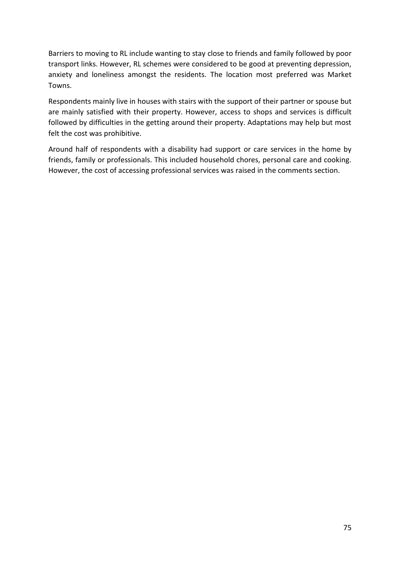Barriers to moving to RL include wanting to stay close to friends and family followed by poor transport links. However, RL schemes were considered to be good at preventing depression, anxiety and loneliness amongst the residents. The location most preferred was Market Towns.

Respondents mainly live in houses with stairs with the support of their partner or spouse but are mainly satisfied with their property. However, access to shops and services is difficult followed by difficulties in the getting around their property. Adaptations may help but most felt the cost was prohibitive.

Around half of respondents with a disability had support or care services in the home by friends, family or professionals. This included household chores, personal care and cooking. However, the cost of accessing professional services was raised in the comments section.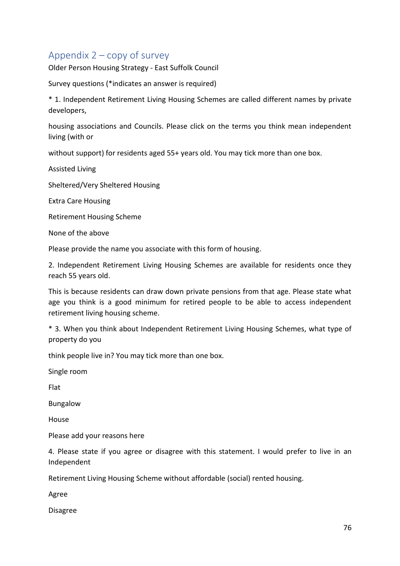## Appendix 2 – copy of survey

Older Person Housing Strategy - East Suffolk Council

Survey questions (\*indicates an answer is required)

\* 1. Independent Retirement Living Housing Schemes are called different names by private developers,

housing associations and Councils. Please click on the terms you think mean independent living (with or

without support) for residents aged 55+ years old. You may tick more than one box.

Assisted Living

Sheltered/Very Sheltered Housing

Extra Care Housing

Retirement Housing Scheme

None of the above

Please provide the name you associate with this form of housing.

2. Independent Retirement Living Housing Schemes are available for residents once they reach 55 years old.

This is because residents can draw down private pensions from that age. Please state what age you think is a good minimum for retired people to be able to access independent retirement living housing scheme.

\* 3. When you think about Independent Retirement Living Housing Schemes, what type of property do you

think people live in? You may tick more than one box.

Single room

Flat

Bungalow

House

Please add your reasons here

4. Please state if you agree or disagree with this statement. I would prefer to live in an Independent

Retirement Living Housing Scheme without affordable (social) rented housing.

Agree

Disagree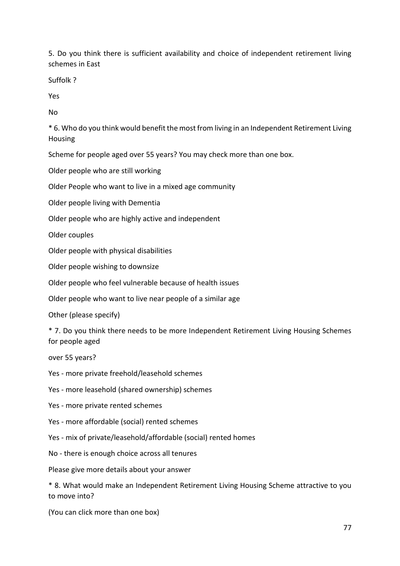5. Do you think there is sufficient availability and choice of independent retirement living schemes in East

Suffolk ?

Yes

No

\* 6. Who do you think would benefit the most from living in an Independent Retirement Living Housing

Scheme for people aged over 55 years? You may check more than one box.

Older people who are still working

Older People who want to live in a mixed age community

Older people living with Dementia

Older people who are highly active and independent

Older couples

Older people with physical disabilities

Older people wishing to downsize

Older people who feel vulnerable because of health issues

Older people who want to live near people of a similar age

Other (please specify)

\* 7. Do you think there needs to be more Independent Retirement Living Housing Schemes for people aged

over 55 years?

Yes - more private freehold/leasehold schemes

Yes - more leasehold (shared ownership) schemes

Yes - more private rented schemes

Yes - more affordable (social) rented schemes

Yes - mix of private/leasehold/affordable (social) rented homes

No - there is enough choice across all tenures

Please give more details about your answer

\* 8. What would make an Independent Retirement Living Housing Scheme attractive to you to move into?

(You can click more than one box)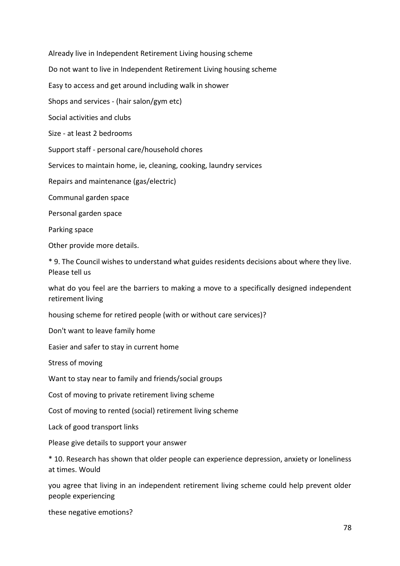Already live in Independent Retirement Living housing scheme Do not want to live in Independent Retirement Living housing scheme Easy to access and get around including walk in shower Shops and services - (hair salon/gym etc) Social activities and clubs Size - at least 2 bedrooms Support staff - personal care/household chores Services to maintain home, ie, cleaning, cooking, laundry services Repairs and maintenance (gas/electric) Communal garden space Personal garden space Parking space Other provide more details. \* 9. The Council wishes to understand what guides residents decisions about where they live. Please tell us what do you feel are the barriers to making a move to a specifically designed independent retirement living housing scheme for retired people (with or without care services)? Don't want to leave family home Easier and safer to stay in current home Stress of moving Want to stay near to family and friends/social groups

Cost of moving to private retirement living scheme

Cost of moving to rented (social) retirement living scheme

Lack of good transport links

Please give details to support your answer

\* 10. Research has shown that older people can experience depression, anxiety or loneliness at times. Would

you agree that living in an independent retirement living scheme could help prevent older people experiencing

these negative emotions?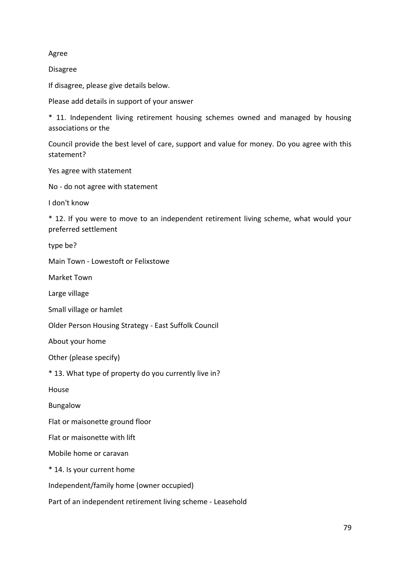Agree

Disagree

If disagree, please give details below.

Please add details in support of your answer

\* 11. Independent living retirement housing schemes owned and managed by housing associations or the

Council provide the best level of care, support and value for money. Do you agree with this statement?

Yes agree with statement

No - do not agree with statement

I don't know

\* 12. If you were to move to an independent retirement living scheme, what would your preferred settlement

type be?

Main Town - Lowestoft or Felixstowe

Market Town

Large village

Small village or hamlet

Older Person Housing Strategy - East Suffolk Council

About your home

Other (please specify)

\* 13. What type of property do you currently live in?

House

Bungalow

Flat or maisonette ground floor

Flat or maisonette with lift

Mobile home or caravan

\* 14. Is your current home

Independent/family home (owner occupied)

Part of an independent retirement living scheme - Leasehold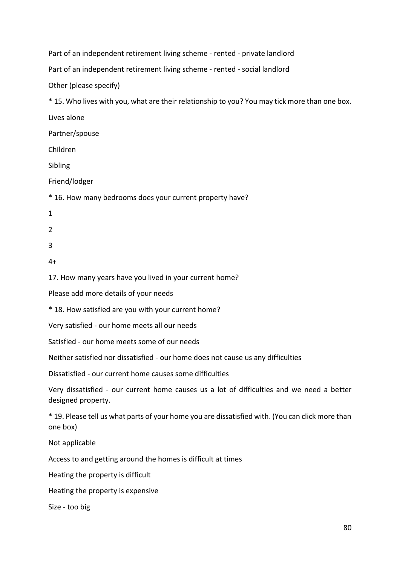Part of an independent retirement living scheme - rented - private landlord Part of an independent retirement living scheme - rented - social landlord Other (please specify) \* 15. Who lives with you, what are their relationship to you? You may tick more than one box. Lives alone Partner/spouse Children Sibling Friend/lodger \* 16. How many bedrooms does your current property have? 1 2 3 4+ 17. How many years have you lived in your current home? Please add more details of your needs \* 18. How satisfied are you with your current home? Very satisfied - our home meets all our needs Satisfied - our home meets some of our needs Neither satisfied nor dissatisfied - our home does not cause us any difficulties Dissatisfied - our current home causes some difficulties Very dissatisfied - our current home causes us a lot of difficulties and we need a better designed property. \* 19. Please tell us what parts of your home you are dissatisfied with. (You can click more than one box) Not applicable Access to and getting around the homes is difficult at times Heating the property is difficult Heating the property is expensive Size - too big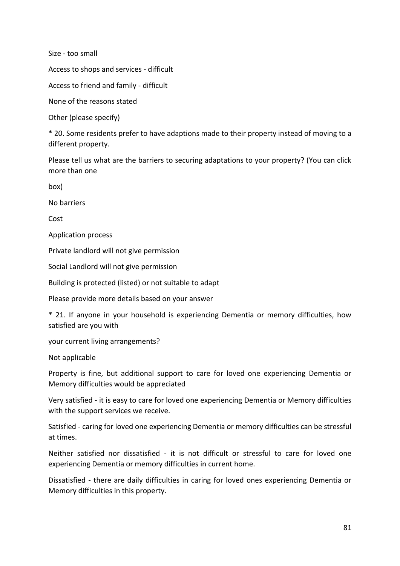Size - too small

Access to shops and services - difficult

Access to friend and family - difficult

None of the reasons stated

Other (please specify)

\* 20. Some residents prefer to have adaptions made to their property instead of moving to a different property.

Please tell us what are the barriers to securing adaptations to your property? (You can click more than one

box)

No barriers

Cost

Application process

Private landlord will not give permission

Social Landlord will not give permission

Building is protected (listed) or not suitable to adapt

Please provide more details based on your answer

\* 21. If anyone in your household is experiencing Dementia or memory difficulties, how satisfied are you with

your current living arrangements?

Not applicable

Property is fine, but additional support to care for loved one experiencing Dementia or Memory difficulties would be appreciated

Very satisfied - it is easy to care for loved one experiencing Dementia or Memory difficulties with the support services we receive.

Satisfied - caring for loved one experiencing Dementia or memory difficulties can be stressful at times.

Neither satisfied nor dissatisfied - it is not difficult or stressful to care for loved one experiencing Dementia or memory difficulties in current home.

Dissatisfied - there are daily difficulties in caring for loved ones experiencing Dementia or Memory difficulties in this property.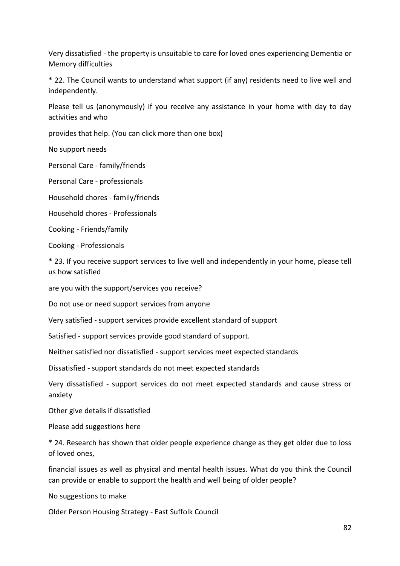Very dissatisfied - the property is unsuitable to care for loved ones experiencing Dementia or Memory difficulties

\* 22. The Council wants to understand what support (if any) residents need to live well and independently.

Please tell us (anonymously) if you receive any assistance in your home with day to day activities and who

provides that help. (You can click more than one box)

No support needs

Personal Care - family/friends

Personal Care - professionals

Household chores - family/friends

Household chores - Professionals

Cooking - Friends/family

Cooking - Professionals

\* 23. If you receive support services to live well and independently in your home, please tell us how satisfied

are you with the support/services you receive?

Do not use or need support services from anyone

Very satisfied - support services provide excellent standard of support

Satisfied - support services provide good standard of support.

Neither satisfied nor dissatisfied - support services meet expected standards

Dissatisfied - support standards do not meet expected standards

Very dissatisfied - support services do not meet expected standards and cause stress or anxiety

Other give details if dissatisfied

Please add suggestions here

\* 24. Research has shown that older people experience change as they get older due to loss of loved ones,

financial issues as well as physical and mental health issues. What do you think the Council can provide or enable to support the health and well being of older people?

No suggestions to make

Older Person Housing Strategy - East Suffolk Council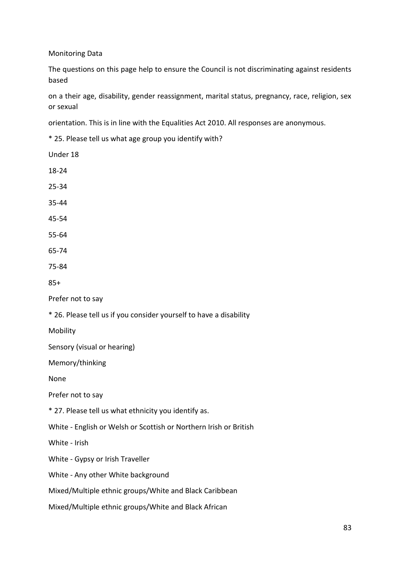Monitoring Data

The questions on this page help to ensure the Council is not discriminating against residents based

on a their age, disability, gender reassignment, marital status, pregnancy, race, religion, sex or sexual

orientation. This is in line with the Equalities Act 2010. All responses are anonymous.

\* 25. Please tell us what age group you identify with?

- Under 18
- 18-24
- 25-34
- 35-44
- 45-54
- 55-64
- 65-74
- 75-84
- 85+

Prefer not to say

\* 26. Please tell us if you consider yourself to have a disability

**Mobility** 

Sensory (visual or hearing)

Memory/thinking

None

Prefer not to say

\* 27. Please tell us what ethnicity you identify as.

White - English or Welsh or Scottish or Northern Irish or British

White - Irish

White - Gypsy or Irish Traveller

White - Any other White background

Mixed/Multiple ethnic groups/White and Black Caribbean

Mixed/Multiple ethnic groups/White and Black African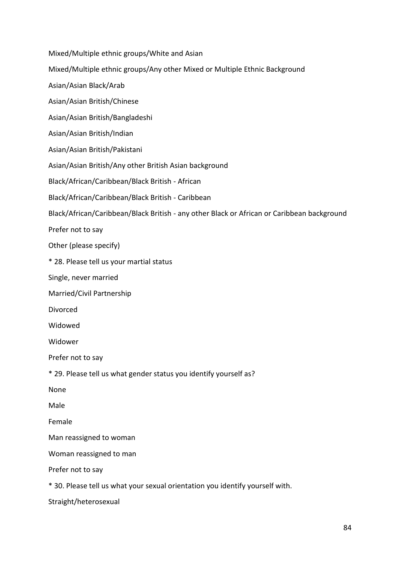Mixed/Multiple ethnic groups/White and Asian

Mixed/Multiple ethnic groups/Any other Mixed or Multiple Ethnic Background

Asian/Asian Black/Arab

Asian/Asian British/Chinese

Asian/Asian British/Bangladeshi

Asian/Asian British/Indian

Asian/Asian British/Pakistani

Asian/Asian British/Any other British Asian background

Black/African/Caribbean/Black British - African

Black/African/Caribbean/Black British - Caribbean

Black/African/Caribbean/Black British - any other Black or African or Caribbean background

Prefer not to say

Other (please specify)

\* 28. Please tell us your martial status

Single, never married

Married/Civil Partnership

Divorced

Widowed

Widower

Prefer not to say

\* 29. Please tell us what gender status you identify yourself as?

None

Male

Female

Man reassigned to woman

Woman reassigned to man

Prefer not to say

\* 30. Please tell us what your sexual orientation you identify yourself with.

Straight/heterosexual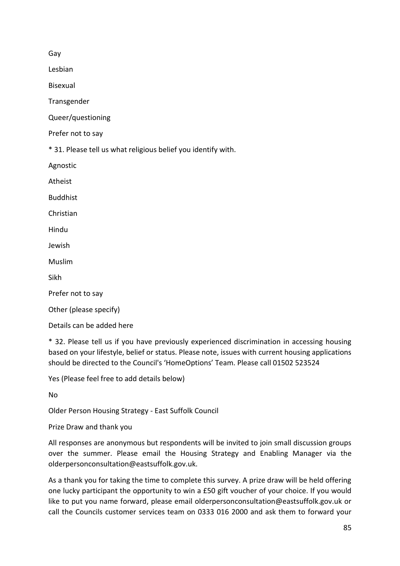Gay

Lesbian

Bisexual

Transgender

Queer/questioning

Prefer not to say

\* 31. Please tell us what religious belief you identify with.

Agnostic

Atheist

Buddhist

Christian

Hindu

Jewish

Muslim

Sikh

Prefer not to say

Other (please specify)

Details can be added here

\* 32. Please tell us if you have previously experienced discrimination in accessing housing based on your lifestyle, belief or status. Please note, issues with current housing applications should be directed to the Council's 'HomeOptions' Team. Please call 01502 523524

Yes (Please feel free to add details below)

No

Older Person Housing Strategy - East Suffolk Council

Prize Draw and thank you

All responses are anonymous but respondents will be invited to join small discussion groups over the summer. Please email the Housing Strategy and Enabling Manager via the olderpersonconsultation@eastsuffolk.gov.uk.

As a thank you for taking the time to complete this survey. A prize draw will be held offering one lucky participant the opportunity to win a £50 gift voucher of your choice. If you would like to put you name forward, please email olderpersonconsultation@eastsuffolk.gov.uk or call the Councils customer services team on 0333 016 2000 and ask them to forward your